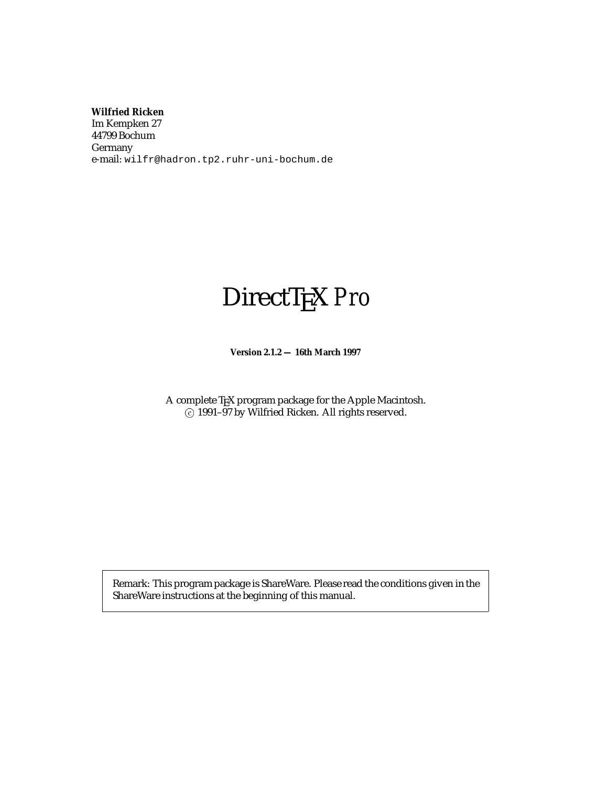**Wilfried Ricken**

Im Kempken 27 44799 Bochum Germany e-mail: wilfr@hadron.tp2.ruhr-uni-bochum.de

# DirectTEX *Pro*

**Version 2.1.2 — 16th March 1997**

A complete TEX program package for the Apple Macintosh. <sup>c</sup> 1991–97 by Wilfried Ricken. All rights reserved.

Remark: This program package is ShareWare. Please read the conditions given in the ShareWare instructions at the beginning of this manual.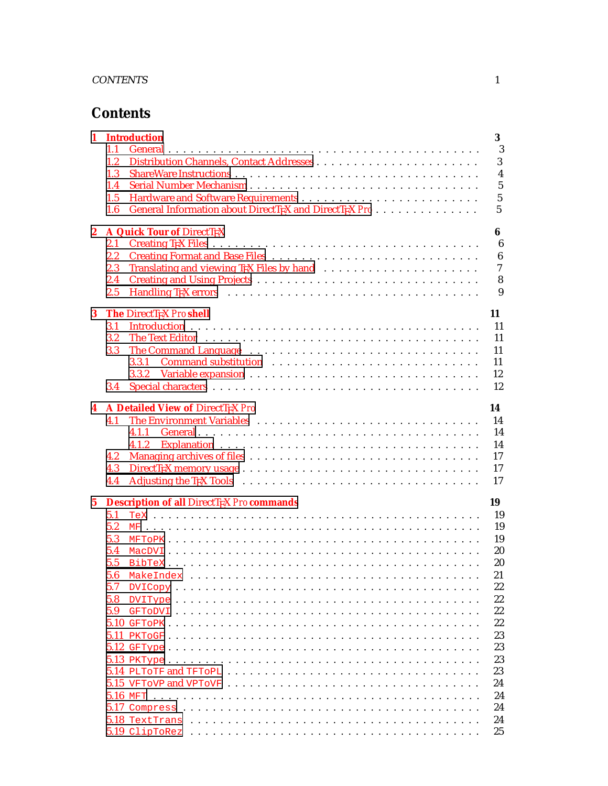# **Contents**

| 1                | <b>Introduction</b>                                                                                                                | 3              |
|------------------|------------------------------------------------------------------------------------------------------------------------------------|----------------|
|                  | 1.1                                                                                                                                | 3              |
|                  | 1.2                                                                                                                                | 3              |
|                  | 1.3                                                                                                                                | $\overline{4}$ |
|                  | Serial Number Mechanism<br>1.4                                                                                                     | $\overline{5}$ |
|                  | 1.5                                                                                                                                | $\overline{5}$ |
|                  | General Information about DirectTrX and DirectTrX Pro<br>1.6                                                                       | 5              |
| $\boldsymbol{2}$ | A Quick Tour of DirectTEX                                                                                                          | 6              |
|                  | 2.1                                                                                                                                | 6              |
|                  | 2.2                                                                                                                                | 6              |
|                  | 2.3                                                                                                                                | $\overline{7}$ |
|                  | 2.4                                                                                                                                | 8              |
|                  | 2.5                                                                                                                                | 9              |
| 3                | The DirectT <sub>F</sub> X Proshell<br>11                                                                                          |                |
|                  | 3.1                                                                                                                                | 11             |
|                  | 3.2                                                                                                                                | 11             |
|                  | 3.3                                                                                                                                | 11             |
|                  | Command substitution <i>witchestralian command substitution witchestralian witchestralian</i> <b>command substitution</b><br>3.3.1 | 11             |
|                  |                                                                                                                                    | 12             |
|                  | 3.4                                                                                                                                | 12             |
|                  |                                                                                                                                    |                |
| 4                | A Detailed View of DirectTEX Pro<br>14                                                                                             |                |
|                  | 4.1                                                                                                                                | 14             |
|                  | 4.1.1                                                                                                                              | 14             |
|                  | 4.1.2                                                                                                                              | 14             |
|                  | 4.2                                                                                                                                | 17             |
|                  | 4.3                                                                                                                                | 17             |
|                  | 4.4                                                                                                                                | 17             |
| $5\phantom{.0}$  | 19<br><b>Description of all DirectTEX Pro commands</b>                                                                             |                |
|                  | 5.1                                                                                                                                | 19             |
|                  | 5.2                                                                                                                                | 19             |
|                  | 5.3                                                                                                                                | 19             |
|                  | 5.4                                                                                                                                | 20             |
|                  | 5.5                                                                                                                                | 20             |
|                  | 5.6                                                                                                                                | 21             |
|                  | 5.7<br>$\text{DVICopy} \dots \dots \dots \dots \dots \dots \dots \dots \dots \dots \dots \dots \dots \dots \dots \dots$            | 22             |
|                  | 5.8                                                                                                                                | 22             |
|                  | 5.9                                                                                                                                | 22             |
|                  |                                                                                                                                    | 22             |
|                  |                                                                                                                                    | 23             |
|                  |                                                                                                                                    | 23             |
|                  |                                                                                                                                    | 23             |
|                  |                                                                                                                                    | 23             |
|                  |                                                                                                                                    | 24             |
|                  |                                                                                                                                    | 24             |
|                  |                                                                                                                                    | 24             |
|                  |                                                                                                                                    | 24             |
|                  |                                                                                                                                    | 25             |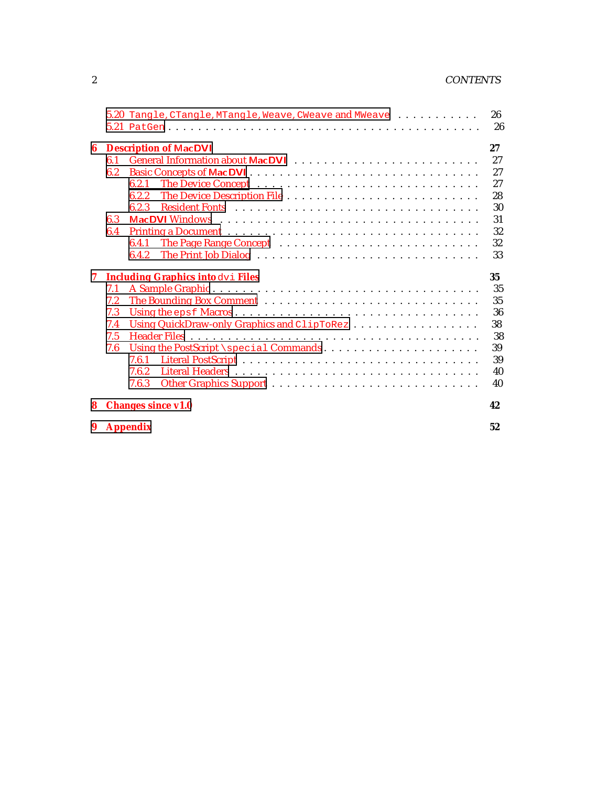# 2 CONTENTS

|   |     | 5.20 Tangle, CTangle, MTangle, Weave, CWeave and MWeave | 26 |
|---|-----|---------------------------------------------------------|----|
|   |     |                                                         | 26 |
| 6 |     | <b>Description of MacDVI</b>                            | 27 |
|   | 6.1 |                                                         | 27 |
|   | 6.2 |                                                         | 27 |
|   |     | 6.2.1                                                   | 27 |
|   |     | 6.2.2                                                   | 28 |
|   |     | 6.2.3                                                   | 30 |
|   | 6.3 |                                                         | 31 |
|   | 6.4 |                                                         | 32 |
|   |     | 6.4.1                                                   | 32 |
|   |     | 6.4.2                                                   | 33 |
| 7 |     | <b>Including Graphics into dvi Files</b>                | 35 |
|   | 7.1 |                                                         | 35 |
|   | 7.2 |                                                         | 35 |
|   | 7.3 |                                                         | 36 |
|   | 7.4 | Using QuickDraw-only Graphics and ClipToRez             | 38 |
|   | 7.5 |                                                         | 38 |
|   | 7.6 | Using the PostScript \special Commands                  | 39 |
|   |     | 7.6.1                                                   | 39 |
|   |     | 7.6.2                                                   | 40 |
|   |     | 7.6.3                                                   | 40 |
| 8 |     | <b>Changes since v1.0</b>                               | 42 |
|   |     | 9 Appendix                                              | 52 |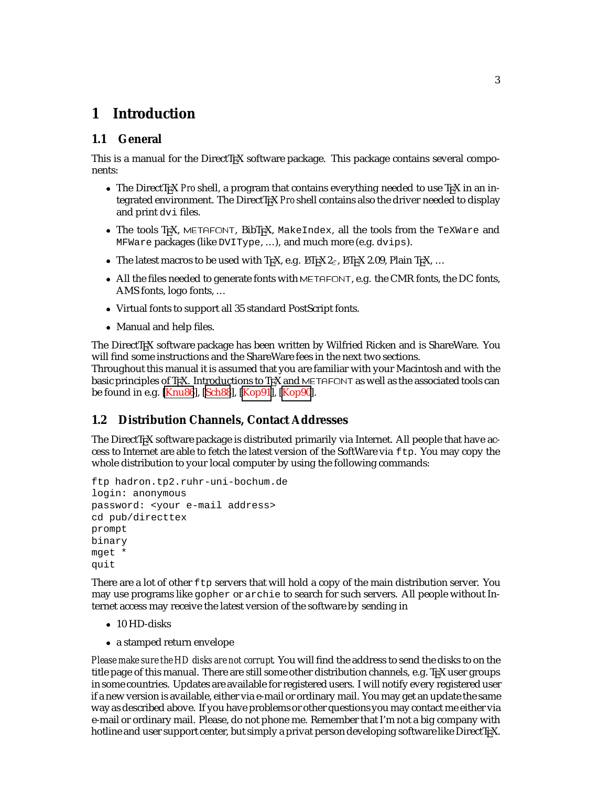# <span id="page-3-0"></span>**1 Introduction**

# **1.1 General**

This is a manual for the DirectTEX software package. This package contains several components:

- The DirectT<sub>EX</sub> *Pro* shell, a program that contains everything needed to use T<sub>EX</sub> in an integrated environment. The DirectT<sub>EX</sub> Proshell contains also the driver needed to display and print dvi files.
- The tools T<sub>F</sub>X, METAFONT, BibT<sub>F</sub>X, MakeIndex, all the tools from the TeXWare and MFWare packages (like DVIType, ...), and much more (e.g. dvips).
- The latest macros to be used with T<sub>E</sub>X, e.g. LH<sub>E</sub>X 2<sub> $\epsilon$ </sub>, LH<sub>E</sub>X 2.09, Plain T<sub>E</sub>X, ...
- $\bullet$  All the files needed to generate fonts with METAFONT, e.g. the CMR fonts, the DC fonts, AMS fonts, logo fonts, ...
- Virtual fonts to support all 35 standard PostScript fonts.
- Manual and help files.

The DirectTEX software package has been written by Wilfried Ricken and is ShareWare. You will find some instructions and the ShareWare fees in the next two sections.

Throughout this manual it is assumed that you are familiar with your Macintosh and with the basic principles of T<sub>E</sub>X. Introductions to T<sub>E</sub>X and METAFONT as well as the associated tools can be found in e.g. [\[Knu86](#page-52-0)], [[Sch88](#page-52-0)], [\[Kop91\]](#page-52-0), [\[Kop90\]](#page-52-0).

# **1.2 Distribution Channels, Contact Addresses**

The DirectT<sub>E</sub>X software package is distributed primarily via Internet. All people that have access to Internet are able to fetch the latest version of the SoftWare via ftp. You may copy the whole distribution to your local computer by using the following commands:

```
ftp hadron.tp2.ruhr-uni-bochum.de
login: anonymous
password: <your e-mail address>
cd pub/directtex
prompt
binary
mget *
quit
```
There are a lot of other  $ftp$  servers that will hold a copy of the main distribution server. You may use programs like gopher or archie to search for such servers. All people without Internet access may receive the latest version of the software by sending in

- 10 HD-disks
- a stamped return envelope

*Please make sure the HD disks are not corrupt*. You will find the address to send the disks to on the title page of this manual. There are still some other distribution channels, e.g. TrX user groups in some countries. Updates are available for registered users. I will notify every registered user if a new version is available, either via e-mail or ordinary mail. You may get an update the same way as described above. If you have problems or other questions you may contact me either via e-mail or ordinary mail. Please, do not phone me. Remember that I'm not a big company with hotline and user support center, but simply a privat person developing software like DirectTEX.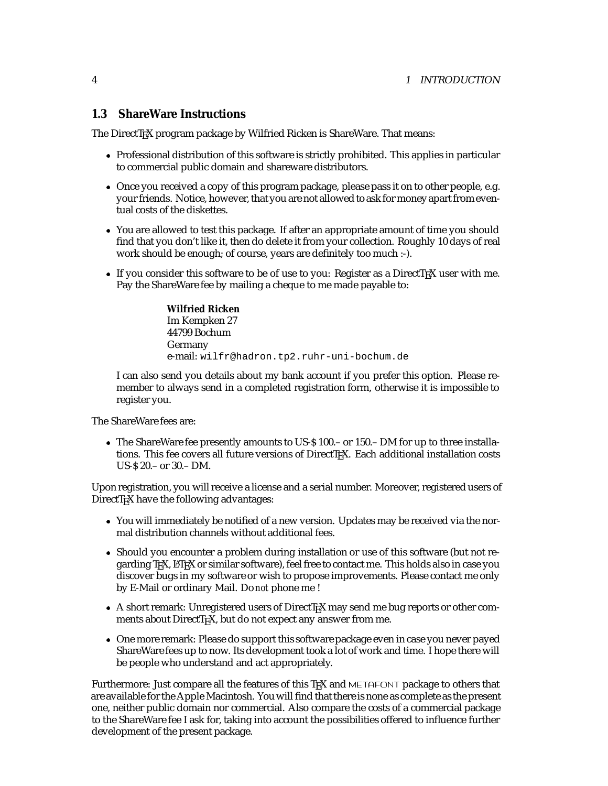### <span id="page-4-0"></span>**1.3 ShareWare Instructions**

The DirectT<sub>EX</sub> program package by Wilfried Ricken is ShareWare. That means:

- Professional distribution of this software is strictly prohibited. This applies in particular to commercial public domain and shareware distributors.
- Once you received a copy of this program package, please pass it on to other people, e.g. your friends. Notice, however, that you are not allowed to ask for money apart from eventual costs of the diskettes.
- You are allowed to test this package. If after an appropriate amount of time you should find that you don't like it, then do delete it from your collection. Roughly 10 days of real work should be enough; of course, years are definitely too much :-).
- If you consider this software to be of use to you: Register as a DirectTEX user with me. Pay the ShareWare fee by mailing a cheque to me made payable to:

**Wilfried Ricken** Im Kempken 27 44799 Bochum Germany e-mail: wilfr@hadron.tp2.ruhr-uni-bochum.de

I can also send you details about my bank account if you prefer this option. Please remember to always send in a completed registration form, otherwise it is impossible to register you.

The ShareWare fees are:

 The ShareWare fee presently amounts to US-\$ 100.– or 150.– DM for up to three installations. This fee covers all future versions of DirectT<sub>E</sub>X. Each additional installation costs US-\$ 20.– or 30.– DM.

Upon registration, you will receive a license and a serial number. Moreover, registered users of DirectT<sub>E</sub>X have the following advantages:

- You will immediately be notified of a new version. Updates may be received via the normal distribution channels without additional fees.
- Should you encounter a problem during installation or use of this software (but not regarding TEX, LHEX or similar software), feel free to contact me. This holds also in case you discover bugs in my software or wish to propose improvements. Please contact me only by E-Mail or ordinary Mail. Do *not* phone me !
- A short remark: Unregistered users of DirectTEX may send me bug reports or other comments about DirectTEX, but do not expect any answer from me.
- One more remark: Please do support this software package even in case you never payed ShareWare fees up to now. Its development took a lot of work and time. I hope there will be people who understand and act appropriately.

Furthermore: Just compare all the features of this TFX and METAFONT package to others that are available for the Apple Macintosh. You will find that there is none as complete as the present one, neither public domain nor commercial. Also compare the costs of a commercial package to the ShareWare fee I ask for, taking into account the possibilities offered to influence further development of the present package.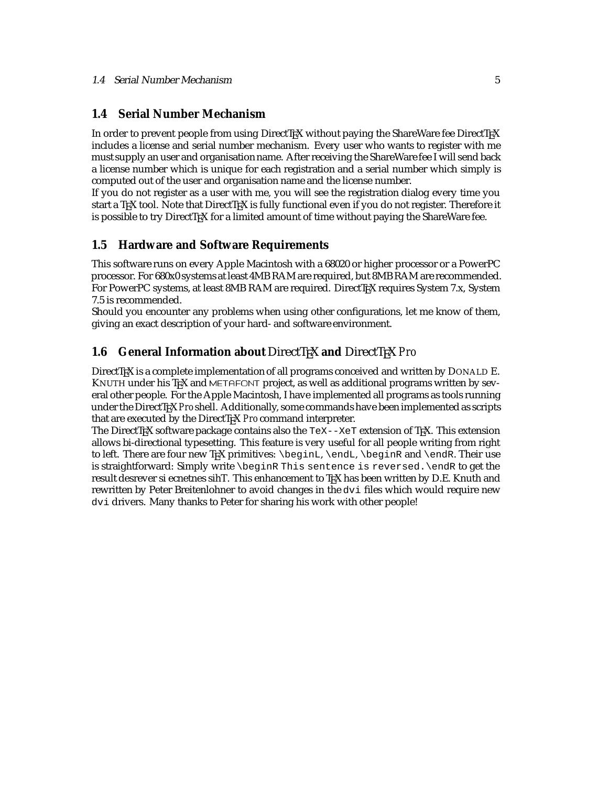#### <span id="page-5-0"></span>**1.4 Serial Number Mechanism**

In order to prevent people from using DirectTEX without paying the ShareWare fee DirectTEX includes a license and serial number mechanism. Every user who wants to register with me must supply an user and organisation name. After receiving the ShareWare fee I will send back a license number which is unique for each registration and a serial number which simply is computed out of the user and organisation name and the license number.

If you do not register as a user with me, you will see the registration dialog every time you start a T<sub>E</sub>X tool. Note that DirectT<sub>E</sub>X is fully functional even if you do not register. Therefore it is possible to try DirectT<sub>EX</sub> for a limited amount of time without paying the ShareWare fee.

#### **1.5 Hardware and Software Requirements**

This software runs on every Apple Macintosh with a 68020 or higher processor or a PowerPC processor. For 680x0 systems at least 4MB RAM are required, but 8MB RAM are recommended. For PowerPC systems, at least 8MB RAM are required. DirectTEX requires System 7.x, System 7.5 is recommended.

Should you encounter any problems when using other configurations, let me know of them, giving an exact description of your hard- and software environment.

### **1.6 General Information about DirectTEX and DirectTEX Pro**

DirectTEX is a complete implementation of all programs conceived and written by DONALD E. KNUTH under his T<sub>EX</sub> and METAFONT project, as well as additional programs written by several other people. For the Apple Macintosh, I have implemented all programs as tools running under the DirectTEX *Pro* shell. Additionally, some commands have been implemented as scripts that are executed by the DirectT<sub>EX</sub> Pro command interpreter.

The DirectT<sub>EX</sub> software package contains also the  $T \in X$ - $X \in T$  extension of T<sub>EX</sub>. This extension allows bi-directional typesetting. This feature is very useful for all people writing from right to left. There are four new TEX primitives: \beginL, \endL, \beginR and \endR. Their use is straightforward: Simply write \beginR This sentence is reversed.\endR to get the result desrever si ecnetnes sihT. This enhancement to T<sub>E</sub>X has been written by D.E. Knuth and rewritten by Peter Breitenlohner to avoid changes in the dvi files which would require new dvi drivers. Many thanks to Peter for sharing his work with other people!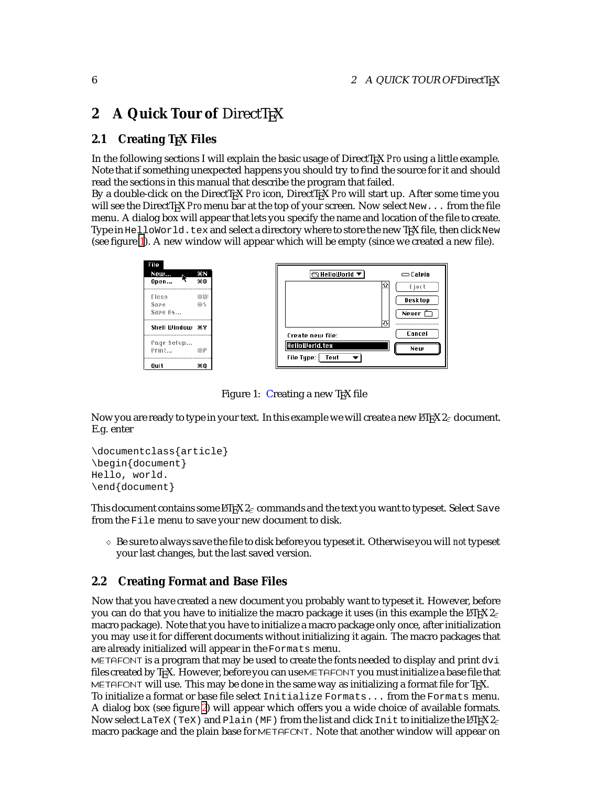# <span id="page-6-0"></span>**2** A Quick Tour of DirectT<sub>E</sub>X

### **2.1 Creating TEX Files**

In the following sections I will explain the basic usage of DirectT<sub>EX</sub> *Pro* using a little example. Note that if something unexpected happens you should try to find the source for it and should read the sections in this manual that describe the program that failed.

By a double-click on the DirectTEX *Pro* icon, DirectTEX *Pro* will start up. After some time you will see the DirectT<sub>EX</sub> *Pro* menu bar at the top of your screen. Now select New... from the file menu. A dialog box will appear that lets you specify the name and location of the file to create. Type in HelloWorld.tex and select a directory where to store the new TFX file, then click New (see figure 1). A new window will appear which will be empty (since we created a new file).

| File         |     |
|--------------|-----|
| New          | жN  |
| Open         | жn  |
| 美和文格         | ※11 |
| <b>Saue</b>  | 悪く  |
| Sape 8s      |     |
|              |     |
| Shell Window | ж۷  |
| Page Setup   |     |
| Print        | ※?  |



Figure 1: Creating a new T<sub>F</sub>X file

Now you are ready to type in your text. In this example we will create a new  $\mathbb{E} \mathbb{E} \mathbb{E} \mathbb{E} \mathbb{E} \mathbb{E} \mathbb{E} \mathbb{E} \mathbb{E}$ E.g. enter

```
\documentclass{article}
\begin{document}
Hello, world.
\end{document}
```
This document contains some  $\mathbb{E} \mathbb{E} \mathbb{E} Z_{\varepsilon}$  commands and the text you want to typeset. Select Save from the File menu to save your new document to disk.

 $\circ$  Be sure to always save the file to disk before you typeset it. Otherwise you will *not* typeset your last changes, but the last saved version.

#### **2.2 Creating Format and Base Files**

Now that you have created a new document you probably want to typeset it. However, before you can do that you have to initialize the macro package it uses (in this example the  $\mathbb{E}\text{Tr}X2_{\varepsilon}$ macro package). Note that you have to initialize a macro package only once, after initialization you may use it for different documents without initializing it again. The macro packages that are already initialized will appear in the Formats menu.

METAFONT is a program that may be used to create the fonts needed to display and print dvi files created by T<sub>E</sub>X. However, before you can use METAFONT you must initialize a base file that METAFONT will use. This may be done in the same way as initializing a format file for TpX.

To initialize a format or base file select Initialize Formats... from the Formats menu. A dialog box (see figure [2](#page-7-0)) will appear which offers you a wide choice of available formats. Now select LaTeX (TeX) and Plain (MF) from the list and click Init to initialize the LATEX  $2\varepsilon$ macro package and the plain base for METAFONT. Note that another window will appear on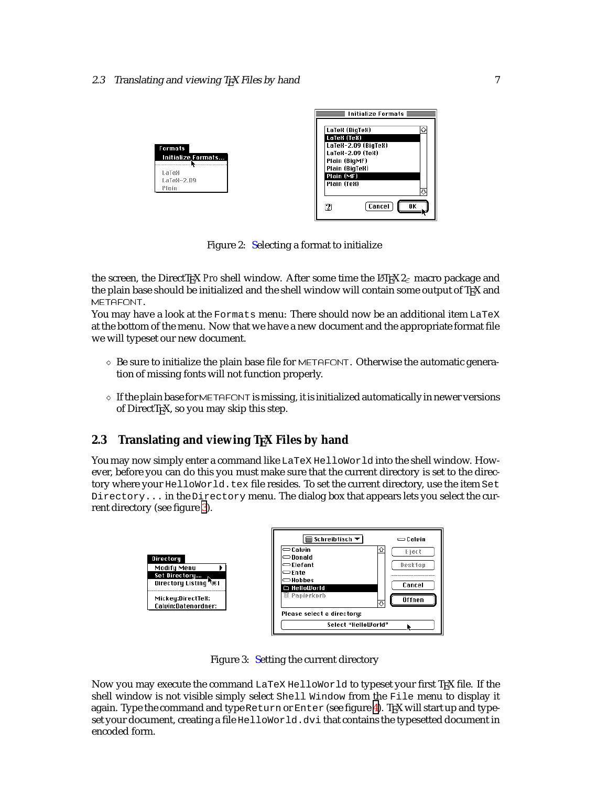<span id="page-7-0"></span>

| Formats    |                    |
|------------|--------------------|
|            | Initialize Formats |
| i aïeä     |                    |
| iaïa8-2.89 |                    |
| Piain      |                    |



Figure 2: Selecting a format to initialize

the screen, the DirectTEX *Pro* shell window. After some time the L<sup>AT</sup>EX  $2<sub>\epsilon</sub>$  macro package and the plain base should be initialized and the shell window will contain some output of TFX and METAFONT.

You may have a look at the Formats menu: There should now be an additional item LaTeX at the bottom of the menu. Now that we have a new document and the appropriate format file we will typeset our new document.

- $\Diamond$  Be sure to initialize the plain base file for METAFONT. Otherwise the automatic generation of missing fonts will not function properly.
- $\circ$  If the plain base for METAFONT is missing, it is initialized automatically in newer versions of DirectT<sub>E</sub>X, so you may skip this step.

# **2.3 Translating and viewing TEX Files by hand**

You may now simply enter a command like LaTeX HelloWorld into the shell window. However, before you can do this you must make sure that the current directory is set to the directory where your HelloWorld.tex file resides. To set the current directory, use the item Set Directory... in the Directory menu. The dialog box that appears lets you select the current directory (see figure 3).



Figure 3: Setting the current directory

Now you may execute the command LaTeX HelloWorld to typeset your first TEX file. If the shell window is not visible simply select Shell Window from the File menu to display it again. Type the command and type Return or Enter (see figure [4\)](#page-8-0). TEX will start up and typeset your document, creating a file HelloWorld.dvi that contains the typesetted document in encoded form.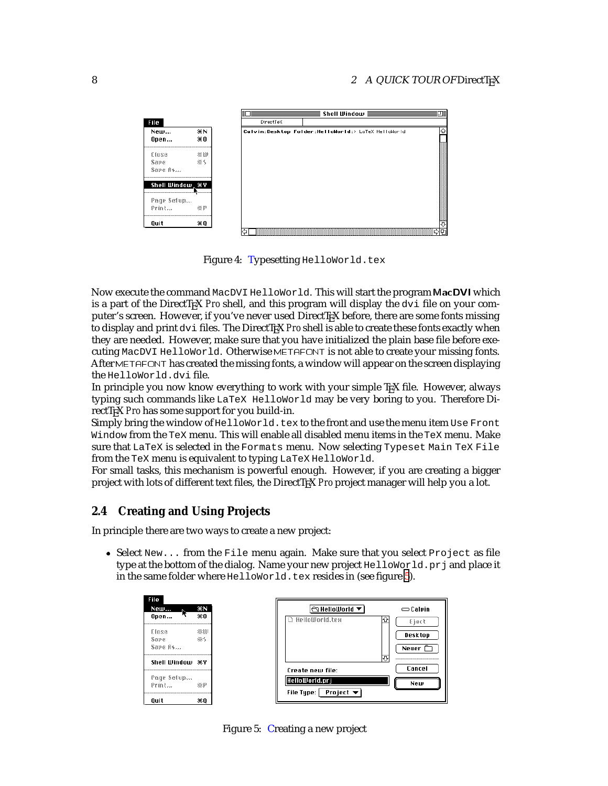<span id="page-8-0"></span>

Figure 4: Typesetting HelloWorld.tex

Now execute the command MacDVI HelloWorld. This will start the program MacDVI which is a part of the DirectT<sub>E</sub>X *Pro* shell, and this program will display the dvi file on your computer's screen. However, if you've never used DirectT<sub>EX</sub> before, there are some fonts missing to display and print dvi files. The DirectT<sub>EX</sub> Pro shell is able to create these fonts exactly when they are needed. However, make sure that you have initialized the plain base file before executing MacDVI HelloWorld. Otherwise METAFONT is not able to create your missing fonts. After METAFONT has created the missing fonts, a window will appear on the screen displaying the HelloWorld.dvi file.

In principle you now know everything to work with your simple TFX file. However, always typing such commands like LaTeX HelloWorld may be very boring to you. Therefore DirectT<sub>EX</sub> *Pro* has some support for you build-in.

Simply bring the window of HelloWorld.tex to the front and use the menu item Use Front Window from the TeX menu. This will enable all disabled menu items in the TeX menu. Make sure that LaTeX is selected in the Formats menu. Now selecting Typeset Main TeX File from the TeX menu is equivalent to typing LaTeX HelloWorld.

For small tasks, this mechanism is powerful enough. However, if you are creating a bigger project with lots of different text files, the DirectTEX *Pro* project manager will help you a lot.

# **2.4 Creating and Using Projects**

In principle there are two ways to create a new project:

• Select  $New...$  from the File menu again. Make sure that you select  $Project$  as file type at the bottom of the dialog. Name your new project HelloWorld.prj and place it in the same folder where HelloWorld.tex resides in (see figure 5).

| File         |     |
|--------------|-----|
| New          | ЖN  |
| Open         | жn  |
| f isse       | ※11 |
| <b>Sana</b>  | 悪く  |
| Sape 8s      |     |
| Shell Window | ж۷  |
| Page Setup   |     |
| Print        | ※?  |
|              |     |

| $\ominus$ HelloWorld $\blacktriangledown$ | $\equiv$ Calvin |
|-------------------------------------------|-----------------|
| D Hellolliorid.test                       | €}⊘∢१           |
|                                           | Desktop         |
|                                           | Neuer           |
|                                           | ↔               |
| Create new file:                          | Cancel          |
| HelloWorld.pri                            | New             |
| File Type:  <br>Project ▼                 |                 |

Figure 5: Creating a new project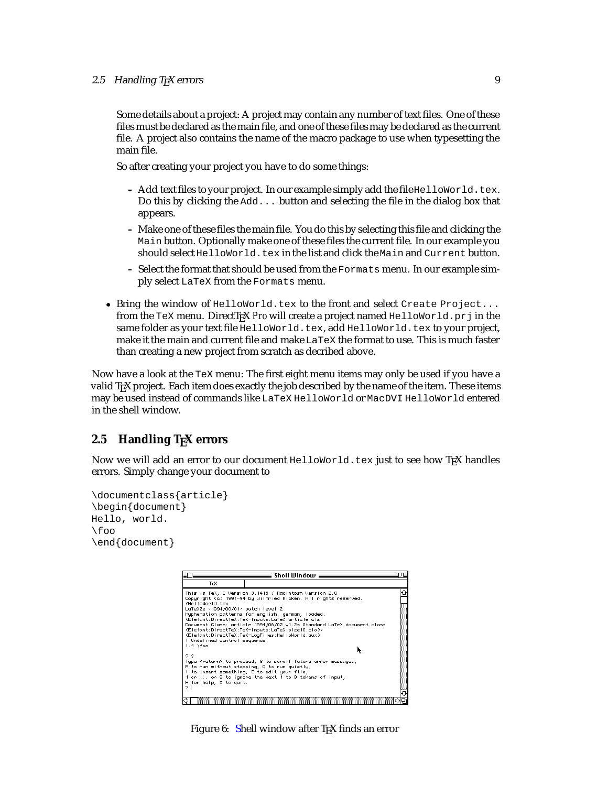#### <span id="page-9-0"></span>2.5 Handling T<sub>E</sub>X errors 9

Some details about a project: A project may contain any number of text files. One of these files must be declared as the main file, and one of these files may be declared as the current file. A project also contains the name of the macro package to use when typesetting the main file.

So after creating your project you have to do some things:

- Add text files to your project. In our example simply add the file HelloWorld.tex. Do this by clicking the Add... button and selecting the file in the dialog box that appears.
- **–** Make one of these files the main file. You do this by selecting this file and clicking the Main button. Optionally make one of these files the current file. In our example you should select  $H$ elloWorld.tex in the list and click the Main and Current button.
- **–** Select the format that should be used from the Formats menu. In our example simply select LaTeX from the Formats menu.
- Bring the window of HelloWorld.tex to the front and select Create Project... from the TeX menu. DirectT<sub>E</sub>X *Pro* will create a project named HelloWorld.prj in the same folder as your text file HelloWorld.tex, add HelloWorld.tex to your project, make it the main and current file and make LaTeX the format to use. This is much faster than creating a new project from scratch as decribed above.

Now have a look at the TeX menu: The first eight menu items may only be used if you have a valid TEX project. Each item does exactly the job described by the name of the item. These items may be used instead of commands like LaTeX HelloWorld or MacDVI HelloWorld entered in the shell window.

# **2.5 Handling TEX errors**

Now we will add an error to our document HelloWorld.tex just to see how TFX handles errors. Simply change your document to

```
\documentclass{article}
\begin{document}
Hello, world.
\foo
\end{document}
```


Figure 6: Shell window after T<sub>F</sub>X finds an error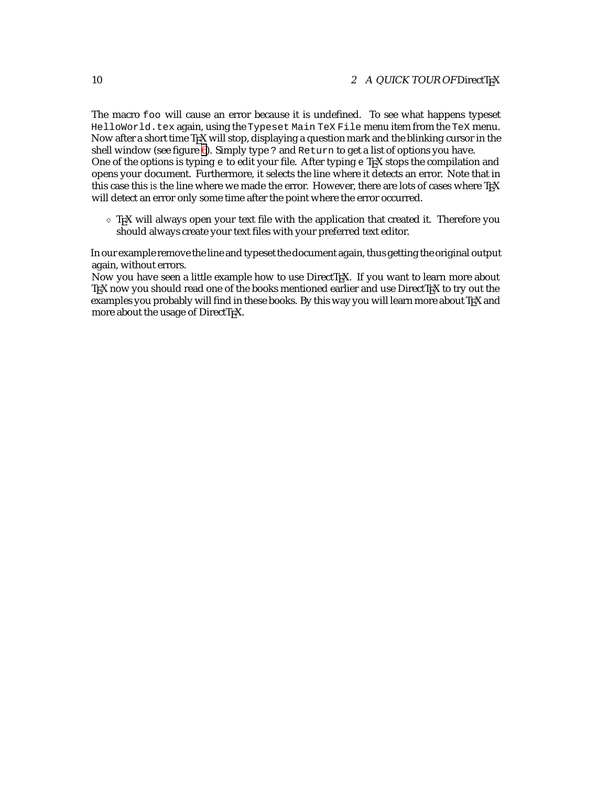The macro foo will cause an error because it is undefined. To see what happens typeset HelloWorld.tex again, using the Typeset Main TeX File menu item from the TeX menu. Now after a short time TEX will stop, displaying a question mark and the blinking cursor in the shell window (see figure [6\)](#page-9-0). Simply type ? and Return to get a list of options you have. One of the options is typing e to edit your file. After typing e T<sub>E</sub>X stops the compilation and opens your document. Furthermore, it selects the line where it detects an error. Note that in this case this *is* the line where we made the error. However, there are lots of cases where TEX will detect an error only some time after the point where the error occurred.

 $\Diamond$  T<sub>E</sub>X will always open your text file with the application that created it. Therefore you should always create your text files with your preferred text editor.

In our example remove the line and typeset the document again, thus getting the original output again, without errors.

Now you have seen a little example how to use DirectT<sub>EX</sub>. If you want to learn more about TEX now you should read one of the books mentioned earlier and use DirectTEX to try out the examples you probably will find in these books. By this way you will learn more about TEX and more about the usage of DirectTEX.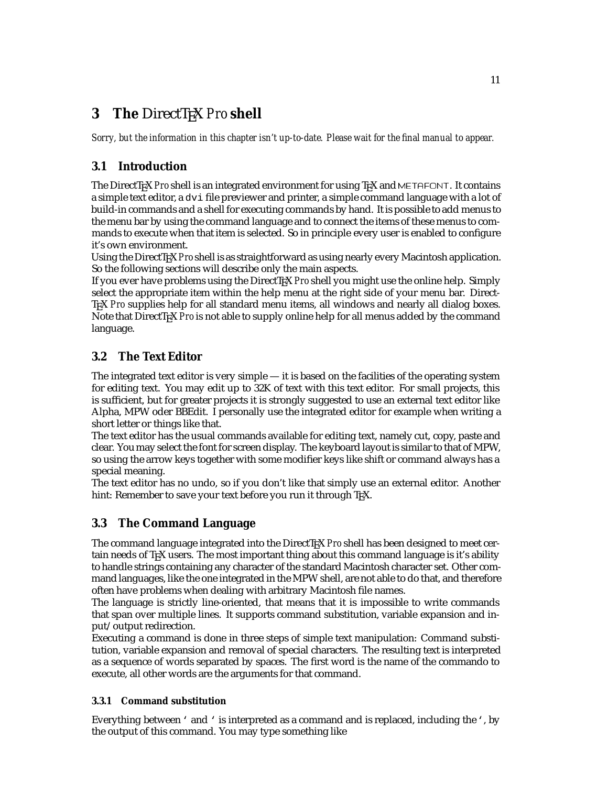# <span id="page-11-0"></span>**3** The DirectT<sub>E</sub>X *Pro* shell

*Sorry, but the information in this chapter isn't up-to-date. Please wait for the final manual to appear.*

# **3.1 Introduction**

The DirectT<sub>E</sub>X *Proshell is an integrated environment for using T<sub>E</sub>X and METAFONT. It contains* a simple text editor, a  $\text{div}$  file previewer and printer, a simple command language with a lot of build-in commands and a shell for executing commands by hand. It is possible to add menus to the menu bar by using the command language and to connect the items of these menus to commands to execute when that item is selected. So in principle every user is enabled to configure it's own environment.

Using the DirectTEX *Pro* shell is as straightforward as using nearly every Macintosh application. So the following sections will describe only the main aspects.

If you ever have problems using the DirectTEX *Pro* shell you might use the online help. Simply select the appropriate item within the help menu at the right side of your menu bar. Direct-TEX *Pro* supplies help for all standard menu items, all windows and nearly all dialog boxes. Note that DirectT<sub>EX</sub> *Pro* is not able to supply online help for all menus added by the command language.

# **3.2 The Text Editor**

The integrated text editor is very simple — it is based on the facilities of the operating system for editing text. You may edit up to 32K of text with this text editor. For small projects, this is sufficient, but for greater projects it is strongly suggested to use an external text editor like Alpha, MPW oder BBEdit. I personally use the integrated editor for example when writing a short letter or things like that.

The text editor has the usual commands available for editing text, namely cut, copy, paste and clear. You may select the font for screen display. The keyboard layout is similar to that of MPW, so using the arrow keys together with some modifier keys like shift or command always has a special meaning.

The text editor has no undo, so if you don't like that simply use an external editor. Another hint: Remember to save your text before you run it through T<sub>F</sub>X.

# **3.3 The Command Language**

The command language integrated into the DirectTEX *Pro* shell has been designed to meet certain needs of TEX users. The most important thing about this command language is it's ability to handle strings containing any character of the standard Macintosh character set. Other command languages, like the one integrated in the MPW shell, are not able to do that, and therefore often have problems when dealing with arbitrary Macintosh file names.

The language is strictly line-oriented, that means that it is impossible to write commands that span over multiple lines. It supports command substitution, variable expansion and input/output redirection.

Executing a command is done in three steps of simple text manipulation: Command substitution, variable expansion and removal of special characters. The resulting text is interpreted as a sequence of words separated by spaces. The first word is the name of the commando to execute, all other words are the arguments for that command.

### **3.3.1 Command substitution**

Everything between ' and ' is interpreted as a command and is replaced, including the', by the output of this command. You may type something like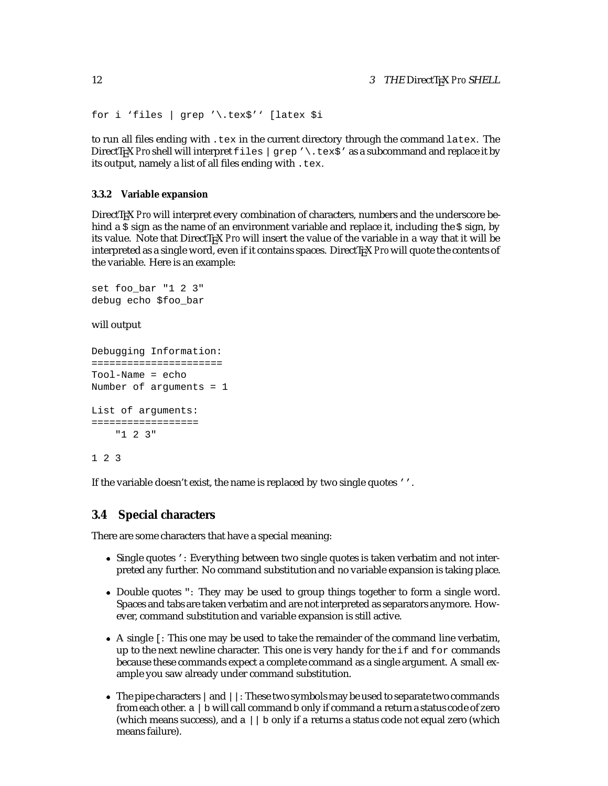```
for i 'files | grep '\.tex$'' [latex $i
```
to run all files ending with .tex in the current directory through the command latex. The DirectT<sub>E</sub>X *Pro* shell will interpret files | grep '\.tex\$' as a subcommand and replace it by its output, namely a list of all files ending with .tex.

#### **3.3.2 Variable expansion**

DirectT<sub>EX</sub> *Pro* will interpret every combination of characters, numbers and the underscore behind a  $\frac{1}{5}$  sign as the name of an environment variable and replace it, including the  $\frac{1}{5}$  sign, by its value. Note that DirectTEX *Pro* will insert the value of the variable in a way that it will be interpreted as a single word, even if it contains spaces. DirectT<sub>EX</sub> *Pro* will quote the contents of the variable. Here is an example:

```
set foo_bar "1 2 3"
debug echo $foo_bar
```
will output

```
Debugging Information:
======================
Tool-Name = echo
Number of arguments = 1
List of arguments:
==================
    "1 2 3"
```
### 1 2 3

If the variable doesn't exist, the name is replaced by two single quotes ''.

#### **3.4 Special characters**

There are some characters that have a special meaning:

- Single quotes ': Everything between two single quotes is taken verbatim and not interpreted any further. No command substitution and no variable expansion is taking place.
- Double quotes ": They may be used to group things together to form a single word. Spaces and tabs are taken verbatim and are not interpreted as separators anymore. However, command substitution and variable expansion is still active.
- A single [: This one may be used to take the remainder of the command line verbatim, up to the next newline character. This one is very handy for the  $if$  and  $for$  commands because these commands expect a complete command as a single argument. A small example you saw already under command substitution.
- $\bullet$  The pipe characters  $|$  and  $|$   $|$  : These two symbols may be used to separate two commands from each other.  $a \mid b$  will call command  $b$  only if command  $a$  return a status code of zero (which means success), and  $a \mid b$  only if a returns a status code not equal zero (which means failure).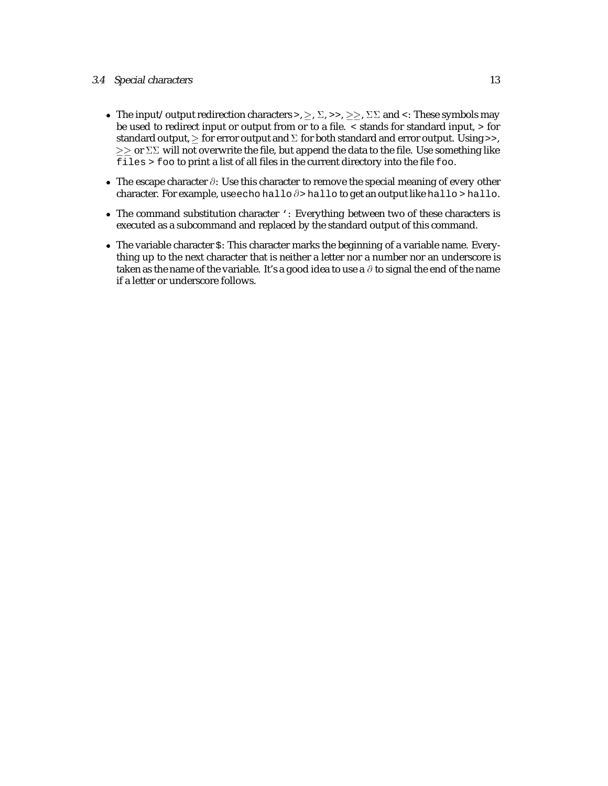#### 3.4 Special characters 13

- The input/output redirection characters >,  $\geq$ ,  $\Sigma$ , >>,  $\geq \geq$ ,  $\Sigma\Sigma$  and <: These symbols may be used to redirect input or output from or to a file. < stands for standard input, > for standard output,  $\geq$  for error output and  $\Sigma$  for both standard and error output. Using >>,  $\geq$   $\geq$  or  $\Sigma\Sigma$  will not overwrite the file, but append the data to the file. Use something like files > foo to print a list of all files in the current directory into the file foo.
- The escape character  $\partial$ : Use this character to remove the special meaning of every other character. For example, use echo hallo  $\partial$ > hallo to get an output like hallo > hallo.
- The command substitution character ': Everything between two of these characters is executed as a subcommand and replaced by the standard output of this command.
- The variable character \$: This character marks the beginning of a variable name. Everything up to the next character that is neither a letter nor a number nor an underscore is taken as the name of the variable. It's a good idea to use a  $\partial$  to signal the end of the name if a letter or underscore follows.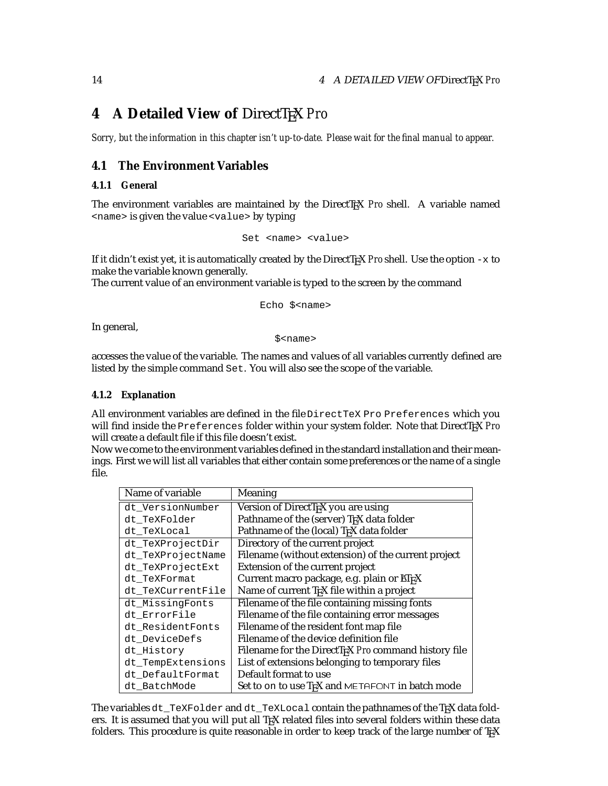# **4** A Detailed View of DirectTEX Pro

*Sorry, but the information in this chapter isn't up-to-date. Please wait for the final manual to appear.*

### **4.1 The Environment Variables**

#### **4.1.1 General**

The environment variables are maintained by the DirectTEX *Pro* shell. A variable named <name> is given the value <value> by typing

```
Set <name> <value>
```
If it didn't exist yet, it is automatically created by the DirectT<sub>EX</sub> *Pro* shell. Use the option  $-x$  to make the variable known generally.

The current value of an environment variable is typed to the screen by the command

Echo \$<name>

In general,

\$<name>

accesses the value of the variable. The names and values of all variables currently defined are listed by the simple command Set. You will also see the scope of the variable.

#### **4.1.2 Explanation**

All environment variables are defined in the file DirectTeX Pro Preferences which you will find inside the Preferences folder within your system folder. Note that DirectTEX *Pro* will create a default file if this file doesn't exist.

Now we come to the environment variables defined in the standard installation and their meanings. First we will list all variables that either contain some preferences or the name of a single file.

| Name of variable  | Meaning                                                          |
|-------------------|------------------------------------------------------------------|
| dt VersionNumber  | Version of DirectT <sub>F</sub> X you are using                  |
| dt TeXFolder      | Pathname of the (server) TFX data folder                         |
| dt TeXLocal       | Pathname of the (local) T <sub>F</sub> X data folder             |
| dt_TeXProjectDir  | Directory of the current project                                 |
| dt_TeXProjectName | Filename (without extension) of the current project              |
| dt_TeXProjectExt  | Extension of the current project                                 |
| dt TeXFormat      | Current macro package, e.g. plain or ETFX                        |
| dt_TeXCurrentFile | Name of current T <sub>F</sub> X file within a project           |
| dt_MissingFonts   | Filename of the file containing missing fonts                    |
| dt_ErrorFile      | Filename of the file containing error messages                   |
| dt ResidentFonts  | Filename of the resident font map file                           |
| dt_DeviceDefs     | Filename of the device definition file                           |
| dt_History        | Filename for the DirectT <sub>F</sub> X Pro command history file |
| dt_TempExtensions | List of extensions belonging to temporary files                  |
| dt DefaultFormat  | Default format to use                                            |
| dt BatchMode      | Set to on to use TEX and METAFONT in batch mode                  |

The variables dt\_TeXFolder and dt\_TeXLocal contain the pathnames of the TEX data folders. It is assumed that you will put all TEX related files into several folders within these data folders. This procedure is quite reasonable in order to keep track of the large number of TEX

<span id="page-14-0"></span>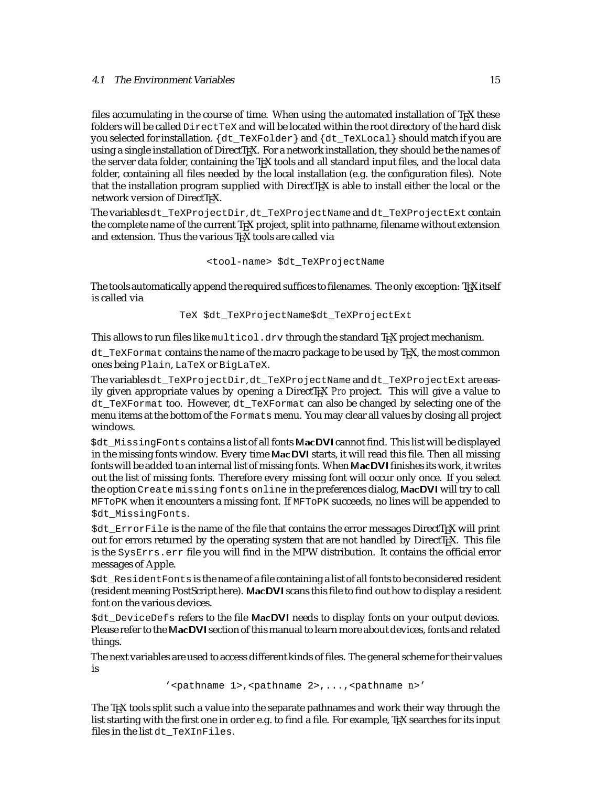files accumulating in the course of time. When using the automated installation of TEX these folders will be called DirectTeX and will be located within the root directory of the hard disk you selected for installation. {dt\_TeXFolder} and {dt\_TeXLocal} should match if you are using a single installation of DirectT<sub>E</sub>X. For a network installation, they should be the names of the server data folder, containing the T<sub>EX</sub> tools and all standard input files, and the local data folder, containing all files needed by the local installation (e.g. the configuration files). Note that the installation program supplied with DirectT<sub>EX</sub> is able to install either the local or the network version of DirectTEX.

The variablesdt\_TeXProjectDir, dt\_TeXProjectName and dt\_TeXProjectExt contain the complete name of the current T<sub>E</sub>X project, split into pathname, filename without extension and extension. Thus the various TEX tools are called via

```
<tool-name> $dt_TeXProjectName
```
The tools automatically append the required suffices to filenames. The only exception: TEX itself is called via

TeX \$dt\_TeXProjectName\$dt\_TeXProjectExt

This allows to run files like multicol.drv through the standard T<sub>EX</sub> project mechanism.

dt TeXFormat contains the name of the macro package to be used by TEX, the most common ones being Plain, LaTeX or BigLaTeX.

The variablesdt\_TeXProjectDir, dt\_TeXProjectName and dt\_TeXProjectExt are easily given appropriate values by opening a DirectTEX *Pro* project. This will give a value to dt\_TeXFormat too. However, dt\_TeXFormat can also be changed by selecting one of the menu items at the bottom of the Formats menu. You may clear all values by closing all project windows.

\$dt\_MissingFonts contains a list of all fonts MacDVI cannot find. This list will be displayed in the missing fonts window. Every time MacDVI starts, it will read this file. Then all missing fonts will be added to an internal list of missing fonts. When MacDVI finishes its work, it writes out the list of missing fonts. Therefore every missing font will occur only once. If you select the option Create missing fonts online in the preferences dialog, MacDVI will try to call MFToPK when it encounters a missing font. If MFToPK succeeds, no lines will be appended to \$dt MissingFonts.

 $$dt$  Export File is the name of the file that contains the error messages DirectT<sub>EX</sub> will print out for errors returned by the operating system that are not handled by DirectTEX. This file is the SysErrs.err file you will find in the MPW distribution. It contains the official error messages of Apple.

\$dt\_ResidentFontsis the name of a file containing a list of all fonts to be considered resident (resident meaning PostScript here). MacDVI scans this file to find out how to display a resident font on the various devices.

\$dt DeviceDefs refers to the file MacDVI needs to display fonts on your output devices. Please refer to the MacDVI section of this manual to learn more about devices, fonts and related things.

The next variables are used to access different kinds of files. The general scheme for their values is

'<pathname 1>,<pathname 2>,...,<pathname *n*>'

The TEX tools split such a value into the separate pathnames and work their way through the list starting with the first one in order e.g. to find a file. For example, TEX searches for its input files in the list dt\_TeXInFiles.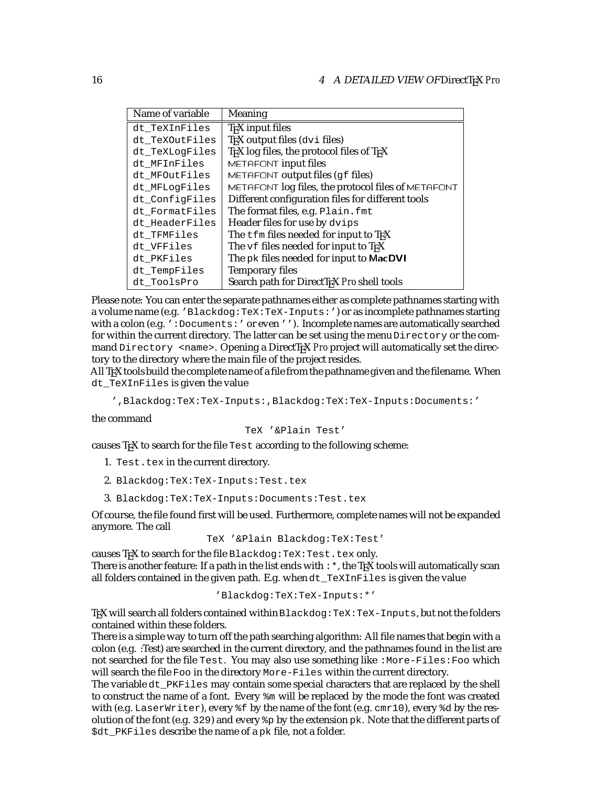| Name of variable | Meaning                                                |
|------------------|--------------------------------------------------------|
| dt TeXInFiles    | TEX input files                                        |
| dt TeXOutFiles   | TEX output files (dvi files)                           |
| dt TeXLogFiles   | TEX log files, the protocol files of TEX               |
| dt MFInFiles     | METAFONT input files                                   |
| dt MFOutFiles    | METAFONT output files (gf files)                       |
| dt MFLogFiles    | METAFONT log files, the protocol files of METAFONT     |
| dt ConfigFiles   | Different configuration files for different tools      |
| dt FormatFiles   | The format files, e.g. Plain. fmt                      |
| dt HeaderFiles   | Header files for use by dvips                          |
| dt_TFMFiles      | The tfm files needed for input to T <sub>E</sub> X     |
| dt VFFiles       | The $\nu f$ files needed for input to T <sub>F</sub> X |
| dt_PKFiles       | The pk files needed for input to MacDVI                |
| dt TempFiles     | <b>Temporary files</b>                                 |
| dt_ToolsPro      | Search path for DirectTEX Pro shell tools              |

Please note: You can enter the separate pathnames either as complete pathnames starting with a volume name (e.g. 'Blackdog:TeX:TeX-Inputs:') or as incomplete pathnames starting with a colon (e.g. ': Documents: ' or even ''). Incomplete names are automatically searched for within the current directory. The latter can be set using the menu Directory or the command Directory <name>. Opening a DirectT<sub>EX</sub> Pro project will automatically set the directory to the directory where the main file of the project resides.

All TEX tools build the complete name of a file from the pathname given and the filename. When dt\_TeXInFiles is given the value

',Blackdog:TeX:TeX-Inputs:,Blackdog:TeX:TeX-Inputs:Documents:'

the command

TeX '&Plain Test'

causes TEX to search for the file Test according to the following scheme:

- 1. Test.tex in the current directory.
- 2. Blackdog:TeX:TeX-Inputs:Test.tex
- 3. Blackdog:TeX:TeX-Inputs:Documents:Test.tex

Of course, the file found first will be used. Furthermore, complete names will not be expanded anymore. The call

TeX '&Plain Blackdog:TeX:Test'

causes T<sub>F</sub>X to search for the file Blackdog: TeX: Test.tex only. There is another feature: If a path in the list ends with  $:$  \*, the T<sub>E</sub>X tools will automatically scan all folders contained in the given path. E.g. when dt\_TeXInFiles is given the value

'Blackdog:TeX:TeX-Inputs:\*'

T<sub>E</sub>X will search all folders contained within Blackdog: TeX: TeX-Inputs, but not the folders contained within these folders.

There is a simple way to turn off the path searching algorithm: All file names that begin with a colon (e.g. :Test) are searched in the current directory, and the pathnames found in the list are not searched for the file Test. You may also use something like :More-Files:Foo which will search the file Foo in the directory More-Files within the current directory.

The variable dt\_PKFiles may contain some special characters that are replaced by the shell to construct the name of a font. Every  $\frac{1}{2}$  will be replaced by the mode the font was created with (e.g. LaserWriter), every  $f$  by the name of the font (e.g. cmr10), every  $f$  d by the resolution of the font (e.g. 329) and every  $\gamma_{\rm p}$  by the extension pk. Note that the different parts of \$dt\_PKFiles describe the name of a pk file, not a folder.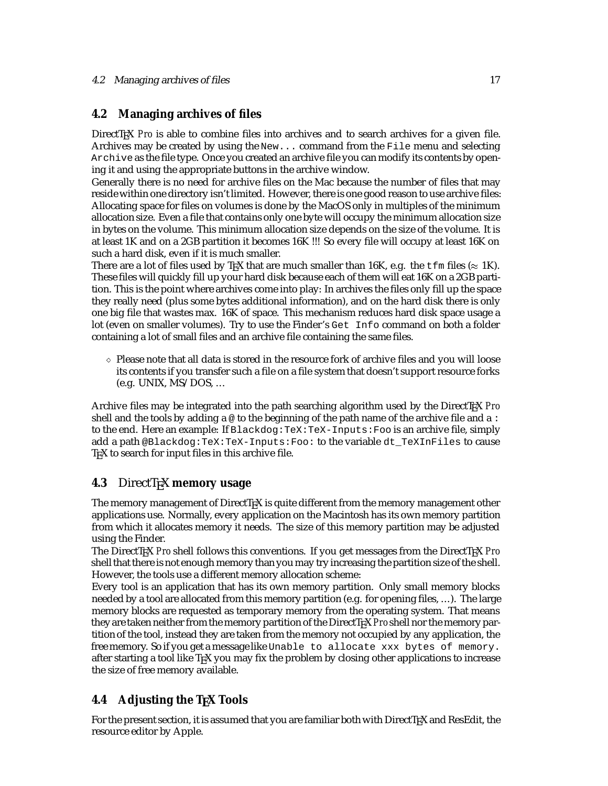# <span id="page-17-0"></span>**4.2 Managing archives of files**

DirectT<sub>EX</sub> *Pro* is able to combine files into archives and to search archives for a given file. Archives may be created by using the New... command from the File menu and selecting Archive as the file type. Once you created an archive file you can modify its contents by opening it and using the appropriate buttons in the archive window.

Generally there is no need for archive files on the Mac because the number of files that may reside within one directory isn't limited. However, there is one good reason to use archive files: Allocating space for files on volumes is done by the MacOS only in multiples of the minimum allocation size. Even a file that contains only one byte will occupy the minimum allocation size in bytes on the volume. This minimum allocation size depends on the size of the volume. It is at least 1K and on a 2GB partition it becomes 16K !!! So every file will occupy at least 16K on such a hard disk, even if it is much smaller.

There are a lot of files used by T<sub>E</sub>X that are much smaller than 16K, e.g. the  $\pm \text{fm}$  files ( $\approx 1$ K). These files will quickly fill up your hard disk because each of them will eat 16K on a 2GB partition. This is the point where archives come into play: In archives the files only fill up the space they really need (plus some bytes additional information), and on the hard disk there is only one big file that wastes max. 16K of space. This mechanism reduces hard disk space usage a lot (even on smaller volumes). Try to use the Finder's Get Info command on both a folder containing a lot of small files and an archive file containing the same files.

 $\Diamond$  Please note that all data is stored in the resource fork of archive files and you will loose its contents if you transfer such a file on a file system that doesn't support resource forks (e.g. UNIX, MS/DOS, ...

Archive files may be integrated into the path searching algorithm used by the DirectTEX *Pro* shell and the tools by adding a  $\infty$  to the beginning of the path name of the archive file and a: to the end. Here an example: If Blackdog:TeX:TeX-Inputs:Foo is an archive file, simply add a path @Blackdog:TeX:TeX-Inputs:Foo: to the variable dt\_TeXInFiles to cause TEX to search for input files in this archive file.

# **4.3** DirectT<sub>E</sub>X memory usage

The memory management of DirectT<sub>EX</sub> is quite different from the memory management other applications use. Normally, every application on the Macintosh has its own memory partition from which it allocates memory it needs. The size of this memory partition may be adjusted using the Finder.

The DirectTEX *Pro* shell follows this conventions. If you get messages from the DirectTEX *Pro* shell that there is not enough memory than you may try increasing the partition size of the shell. However, the tools use a different memory allocation scheme:

Every tool is an application that has its own memory partition. Only small memory blocks needed by a tool are allocated from this memory partition (e.g. for opening files, ...). The large memory blocks are requested as temporary memory from the operating system. That means they are taken neither from the memory partition of the DirectT<sub>F</sub>X *Proshell* nor the memory partition of the tool, instead they are taken from the memory not occupied by any application, the free memory. So if you get a message like Unable to allocate xxx bytes of memory. after starting a tool like T<sub>F</sub>X you may fix the problem by closing other applications to increase the size of free memory available.

# **4.4 Adjusting the TEX Tools**

For the present section, it is assumed that you are familiar both with DirectTEX and ResEdit, the resource editor by Apple.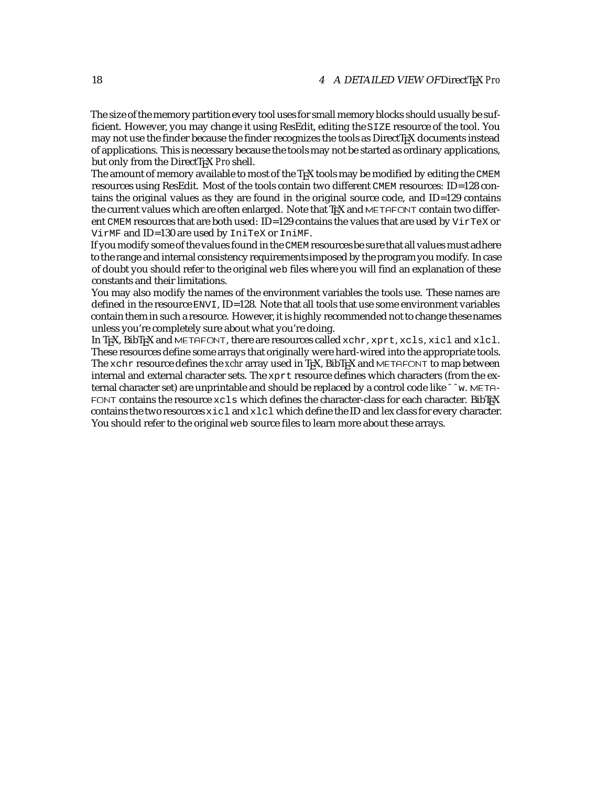The size of the memory partition every tool uses for small memory blocks should usually be sufficient. However, you may change it using ResEdit, editing the SIZE resource of the tool. You may not use the finder because the finder recognizes the tools as DirectTEX documents instead of applications. This is necessary because the tools may not be started as ordinary applications, but only from the DirectTEX Pro shell.

The amount of memory available to most of the TEX tools may be modified by editing the CMEM resources using ResEdit. Most of the tools contain two different CMEM resources: ID=128 contains the original values as they are found in the original source code, and ID=129 contains the current values which are often enlarged. Note that T<sub>EX</sub> and METAFONT contain two different CMEM resources that are both used: ID=129 contains the values that are used by VirTeX or VirMF and ID=130 are used by IniTeX or IniMF.

If you modify some of the values found in the CMEM resourcesbe sure that all values must adhere to the range and internal consistency requirementsimposed by the program you modify. In case of doubt you should refer to the original web files where you will find an explanation of these constants and their limitations.

You may also modify the names of the environment variables the tools use. These names are defined in the resource ENVI, ID=128. Note that all tools that use some environment variables contain them in such a resource. However, it is highly recommended not to change these names unless you're completely sure about what you're doing.

In TrX, BibTrX and METAFONT, there are resources called xchr, xprt, xcls, xicl and xlcl. These resources define some arrays that originally were hard-wired into the appropriate tools. The xchr resource defines the *xchr* array used in T<sub>E</sub>X, BibT<sub>E</sub>X and METAFONT to map between internal and external character sets. The xprt resource defines which characters (from the external character set) are unprintable and should be replaced by a control code likeˆˆw. META- FONT contains the resource  $xcls$  which defines the character-class for each character. BibTEX contains the two resources  $xic1$  and  $xlc1$  which define the ID and lex class for every character. You should refer to the original web source files to learn more about these arrays.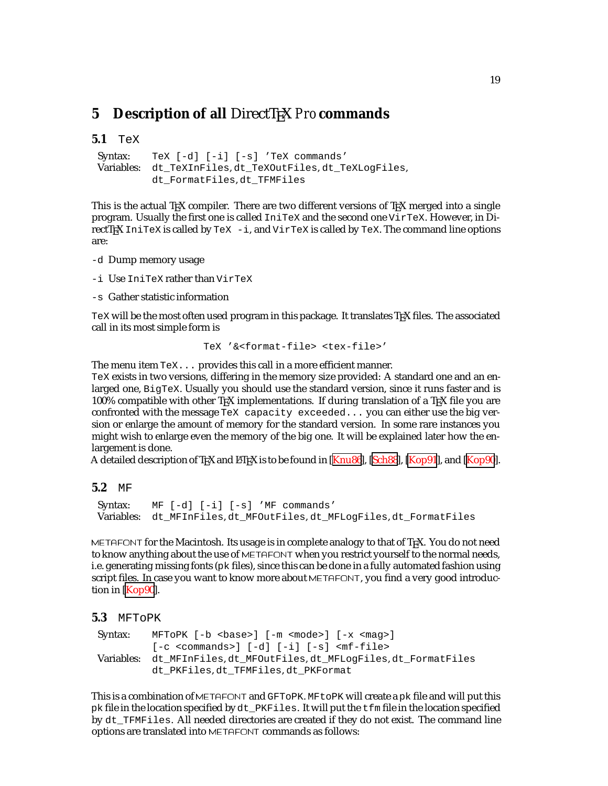# <span id="page-19-0"></span>**5** Description of all DirectT<sub>E</sub>X *Pro* commands

```
5.1 TeX
```

```
Syntax: TeX [-d] [-i] [-s] 'TeX commands'
Variables: dt_TeXInFiles, dt_TeXOutFiles, dt_TeXLogFiles,
         dt_FormatFiles, dt_TFMFiles
```
This is the actual T<sub>EX</sub> compiler. There are two different versions of T<sub>EX</sub> merged into a single program. Usually the first one is called IniTeX and the second one VirTeX. However, in DirectT<sub>E</sub>X IniTeX is called by TeX  $-$ i, and VirTeX is called by TeX. The command line options are:

- -d Dump memory usage
- -i Use IniTeX rather than VirTeX
- -s Gather statistic information

TeX will be the most often used program in this package. It translates TFX files. The associated call in its most simple form is

```
TeX '&<format-file> <tex-file>'
```
The menu item TeX... provides this call in a more efficient manner.

TeX exists in two versions, differing in the memory size provided: A standard one and an enlarged one, BigTeX. Usually you should use the standard version, since it runs faster and is 100% compatible with other T<sub>E</sub>X implementations. If during translation of a T<sub>E</sub>X file you are confronted with the message TeX capacity exceeded... you can either use the big version or enlarge the amount of memory for the standard version. In some rare instances you might wish to enlarge even the memory of the big one. It will be explained later how the enlargement is done.

A detailed description of T<sub>EX</sub> and LATEX is to be found in [[Knu86\]](#page-52-0), [[Sch88](#page-52-0)], [\[Kop91\]](#page-52-0), and [[Kop90](#page-52-0)].

```
5.2 MF
```

```
Syntax: MF [-d] [-i] [-s] 'MF commands'
Variables: dt_MFInFiles, dt_MFOutFiles, dt_MFLogFiles, dt_FormatFiles
```
METAFONT for the Macintosh. Its usage is in complete analogy to that of T<sub>E</sub>X. You do not need to know anything about the use of METAFONT when you restrict yourself to the normal needs, i.e. generating missing fonts (pk files), since this can be done in a fully automated fashion using script files. In case you want to know more about METAFONT, you find a very good introduction in [\[Kop90](#page-52-0)].

```
5.3 MFToPK
```

```
Syntax: MFToPK [-b <br/>base>] [-m <mode>] [-x <mag>]
          [-c \text{ commands}>] [-d] [-i] [-s] \text{cmf-file>}Variables: dt_MFInFiles, dt_MFOutFiles, dt_MFLogFiles, dt_FormatFiles
          dt_PKFiles, dt_TFMFiles, dt_PKFormat
```
This is a combination of METAFONT and GFToPK. MFtoPK will create a pk file and will put this pk file in the location specified by dt\_PKFiles. It will put the tfm file in the location specified by dt\_TFMFiles. All needed directories are created if they do not exist. The command line options are translated into METAFONT commands as follows: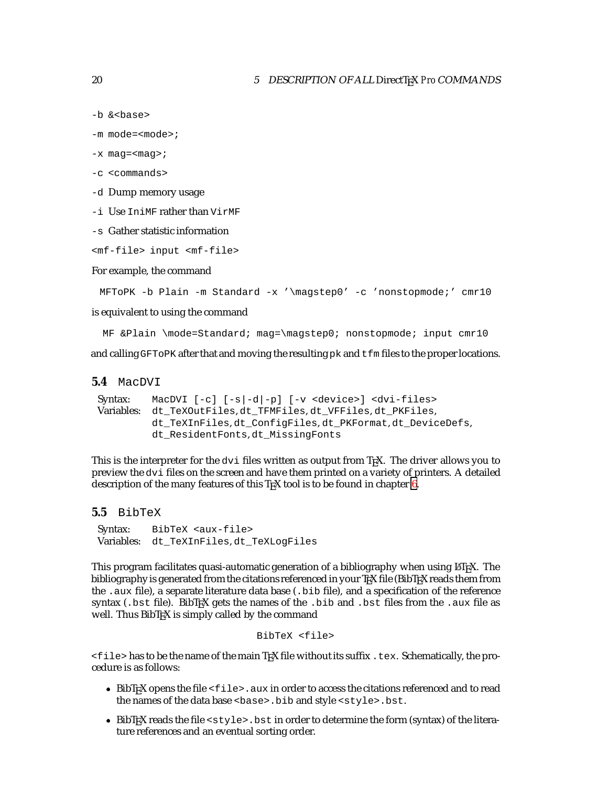```
-b &<base>
```

```
-m mode=<mode>;
```
- $-x$  mag=  $\langle$ mag>;
- -c <commands>
- -d Dump memory usage
- -i Use IniMF rather than VirMF
- -s Gather statistic information

```
<mf-file> input <mf-file>
```
For example, the command

```
MFToPK -b Plain -m Standard -x '\magstep0' -c 'nonstopmode;' cmr10
```
is equivalent to using the command

```
MF &Plain \mode=Standard; mag=\magstep0; nonstopmode; input cmr10
```
and calling GFTOPK after that and moving the resulting  $pk$  and  $tfm$  files to the proper locations.

#### **5.4** MacDVI

```
Syntax: MacDVI [-c] [-s|-d|-p] [-v <device>] <dvi-files>
Variables: dt_TeXOutFiles, dt_TFMFiles, dt_VFFiles, dt_PKFiles,
         dt_TeXInFiles, dt_ConfigFiles, dt_PKFormat, dt_DeviceDefs,
         dt_ResidentFonts, dt_MissingFonts
```
This is the interpreter for the  $\text{div}$  files written as output from T<sub>E</sub>X. The driver allows you to preview the dvi files on the screen and have them printed on a variety of printers. A detailed description of the many features of this T<sub>E</sub>X tool is to be found in chapter  $6$ .

```
5.5 BibTeX
```
Syntax: BibTeX <aux-file> Variables: dt\_TeXInFiles, dt\_TeXLogFiles

This program facilitates quasi-automatic generation of a bibliography when using LATEX. The bibliography is generated from the citations referenced in your TrX file (BibTrX reads them from the .aux file), a separate literature data base (.bib file), and a specification of the reference syntax (.bst file). BibTEX gets the names of the .bib and .bst files from the .aux file as well. Thus BibTEX is simply called by the command

```
BibTeX <file>
```
 $<$ file> has to be the name of the main TEX file without its suffix .tex. Schematically, the procedure is as follows:

- $\bullet$  BibT<sub>E</sub>X opens the file  $\lt f$  i less aux in order to access the citations referenced and to read the names of the data base <base>.bib and style <style>.bst.
- $\bullet$  BibT<sub>E</sub>X reads the file <style>.bst in order to determine the form (syntax) of the literature references and an eventual sorting order.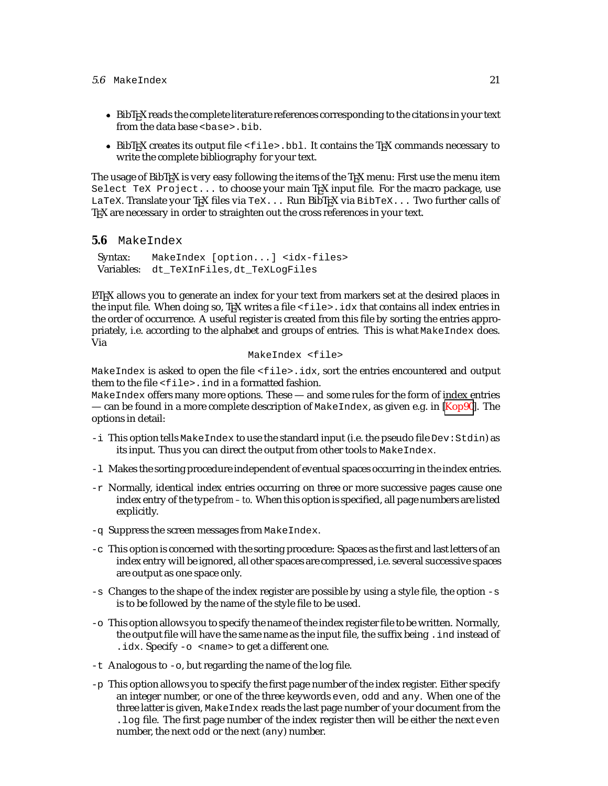#### <span id="page-21-0"></span> $5.6$  MakeIndex  $21$

- BibTEX reads the complete literature references corresponding to the citations in your text from the data base <base>.bib.
- $\bullet$  BibT<sub>E</sub>X creates its output file <file>.bbl. It contains the T<sub>E</sub>X commands necessary to write the complete bibliography for your text.

The usage of BibT<sub>E</sub>X is very easy following the items of the T<sub>E</sub>X menu: First use the menu item Select TeX Project... to choose your main T<sub>F</sub>X input file. For the macro package, use LaTeX. Translate your TEX files via TeX... Run BibTEX via BibTeX... Two further calls of T<sub>E</sub>X are necessary in order to straighten out the cross references in your text.

**5.6** MakeIndex

Syntax: MakeIndex [option...] <idx-files> Variables: dt\_TeXInFiles, dt\_TeXLogFiles

LATEX allows you to generate an index for your text from markers set at the desired places in the input file. When doing so, TEX writes a file  $\text{ifile}$ .  $\text{idx}$  that contains all index entries in the order of occurrence. A useful register is created from this file by sorting the entries appropriately, i.e. according to the alphabet and groups of entries. This is what MakeIndex does. Via

```
MakeIndex <file>
```
MakeIndex is asked to open the file <file>.idx, sort the entries encountered and output them to the file <file>.ind in a formatted fashion.

MakeIndex offers many more options. These — and some rules for the form of index entries — can be found in a more complete description of MakeIndex, as given e.g. in [\[Kop90\]](#page-52-0). The options in detail:

- -i This option tells MakeIndex to use the standard input (i.e. the pseudo file Dev:Stdin) as its input. Thus you can direct the output from other tools to MakeIndex.
- -l Makes the sorting procedure independent of eventual spaces occurring in the index entries.
- $-r$  Normally, identical index entries occurring on three or more successive pages cause one index entry of the type *from – to*. When this option is specified, all page numbers are listed explicitly.
- -q Suppress the screen messages from MakeIndex.
- -c This option is concerned with the sorting procedure: Spaces as the first and last letters of an index entry will be ignored, all other spaces are compressed, i.e. several successive spaces are output as one space only.
- $-s$  Changes to the shape of the index register are possible by using a style file, the option  $-s$ is to be followed by the name of the style file to be used.
- -o This option allows you to specify the name of the index register file to be written. Normally, the output file will have the same name as the input file, the suffix being .ind instead of . idx. Specify  $-\circ$  <name> to get a different one.
- -t Analogous to -o, but regarding the name of the log file.
- -p This option allows you to specify the first page number of the index register. Either specify an integer number, or one of the three keywords even, odd and any. When one of the three latter is given, MakeIndex reads the last page number of your document from the .log file. The first page number of the index register then will be either the next even number, the next odd or the next (any) number.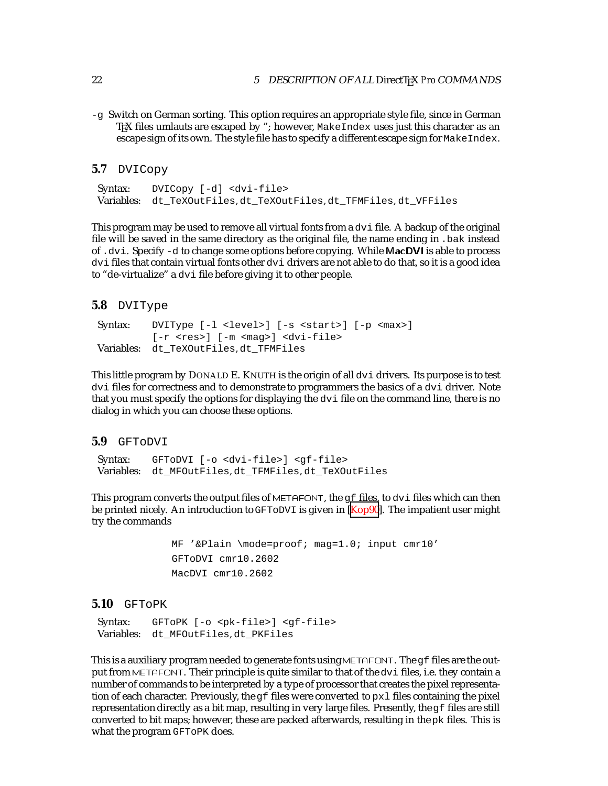-g Switch on German sorting. This option requires an appropriate style file, since in German TEX files umlauts are escaped by "; however, MakeIndex uses just this character as an escape sign of its own. The style file has to specify a different escape sign for MakeIndex.

#### **5.7** DVICopy

Syntax: DVICopy [-d] <dvi-file> Variables: dt\_TeXOutFiles, dt\_TeXOutFiles, dt\_TFMFiles, dt\_VFFiles

This program may be used to remove all virtual fonts from a dvi file. A backup of the original file will be saved in the same directory as the original file, the name ending in . bak instead of .dvi. Specify -d to change some options before copying. While MacDVI is able to process dvi files that contain virtual fonts other dvi drivers are not able to do that, so it is a good idea to "de-virtualize" a dvi file before giving it to other people.

#### **5.8** DVIType

```
Syntax: DVIType [-l <level>] [-s <start>] [-p <max>]
         [-r <res>] [-m <mag>] <dvi-file>
Variables: dt_TeXOutFiles, dt_TFMFiles
```
This little program by DONALD E. KNUTH is the origin of all dvi drivers. Its purpose is to test dvi files for correctness and to demonstrate to programmers the basics of a dvi driver. Note that you must specify the options for displaying the dvi file on the command line, there is no dialog in which you can choose these options.

#### **5.9** GFToDVI

Syntax: GFToDVI [-o <dvi-file>] <gf-file> Variables: dt\_MFOutFiles, dt\_TFMFiles, dt\_TeXOutFiles

This program converts the output files of METAFONT, the  $\sigma f$  files, to dvi files which can then be printed nicely. An introduction to GFToDVI is given in [\[Kop90](#page-52-0)]. The impatient user might try the commands

```
MF '&Plain \mode=proof; mag=1.0; input cmr10'
GFToDVI cmr10.2602
MacDVI cmr10.2602
```
#### **5.10** GFToPK

Syntax: GFToPK [-o <pk-file>] <gf-file> Variables: dt\_MFOutFiles, dt\_PKFiles

This is a auxiliary program needed to generate fonts using METAFONT. The  $gf$  files are the output from METAFONT. Their principle is quite similar to that of the dvi files, i.e. they contain a number of commands to be interpreted by a type of processor that creates the pixel representation of each character. Previously, the  $qf$  files were converted to  $px1$  files containing the pixel representation directly as a bit map, resulting in very large files. Presently, the  $g$ f files are still converted to bit maps; however, these are packed afterwards, resulting in the pk files. This is what the program GFToPK does.

<span id="page-22-0"></span>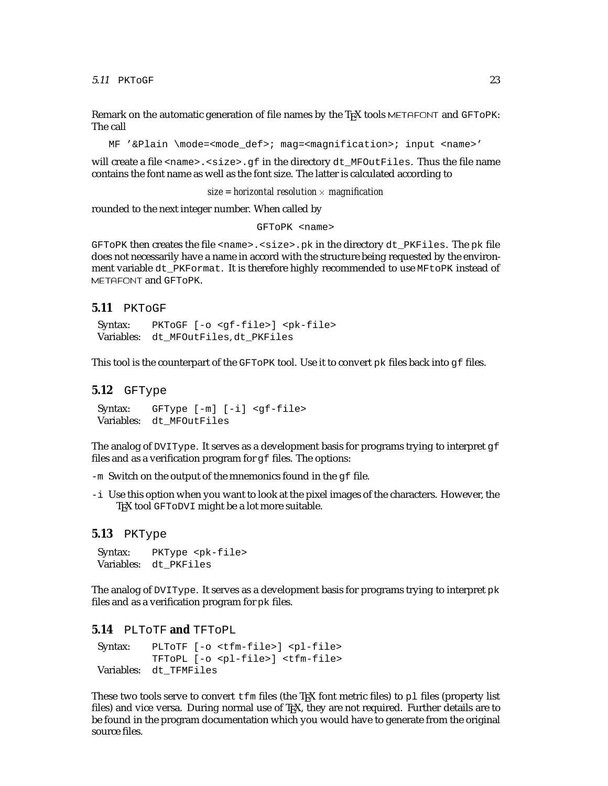<span id="page-23-0"></span> $5.11$  PKTOGF 23

Remark on the automatic generation of file names by the T<sub>E</sub>X tools METAFONT and GFTOPK: The call

MF '&Plain \mode=<mode\_def>; mag=<magnification>; input <name>'

will create a file <name>. <size>.gf in the directory  $dt$ \_MFOutFiles. Thus the file name contains the font name as well as the font size. The latter is calculated according to

 $size$  = horizontal resolution  $\times$  magnification

rounded to the next integer number. When called by

GFToPK <name>

GFToPK then creates the file <name>.<size>.pk in the directory dt\_PKFiles. The pk file does not necessarily have a name in accord with the structure being requested by the environment variable dt PKFormat. It is therefore highly recommended to use MFtoPK instead of METAFONT and GFToPK.

#### **5.11** PKToGF

Syntax: PKToGF [-o <gf-file>] <pk-file> Variables: dt\_MFOutFiles, dt\_PKFiles

This tool is the counterpart of the GFToPK tool. Use it to convert pk files back into gf files.

#### **5.12** GFType

Syntax: GFType [-m] [-i] <gf-file> Variables: dt\_MFOutFiles

The analog of DVIType. It serves as a development basis for programs trying to interpret  $g f$ files and as a verification program for  $g f$  files. The options:

 $-m$  Switch on the output of the mnemonics found in the  $qf$  file.

-i Use this option when you want to look at the pixel images of the characters. However, the TEX tool GFTODVI might be a lot more suitable.

#### **5.13** PKType

Syntax: PKType <pk-file> Variables: dt\_PKFiles

The analog of DVIType. It serves as a development basis for programs trying to interpret pk files and as a verification program for pk files.

#### **5.14** PLToTF **and** TFToPL

Syntax: PLToTF [-o <tfm-file>] <pl-file> TFToPL [-o <pl-file>] <tfm-file> Variables: dt\_TFMFiles

These two tools serve to convert  $\pm \text{fm}$  files (the T<sub>EX</sub> font metric files) to pl files (property list files) and vice versa. During normal use of T<sub>EX</sub>, they are not required. Further details are to be found in the program documentation which you would have to generate from the original source files.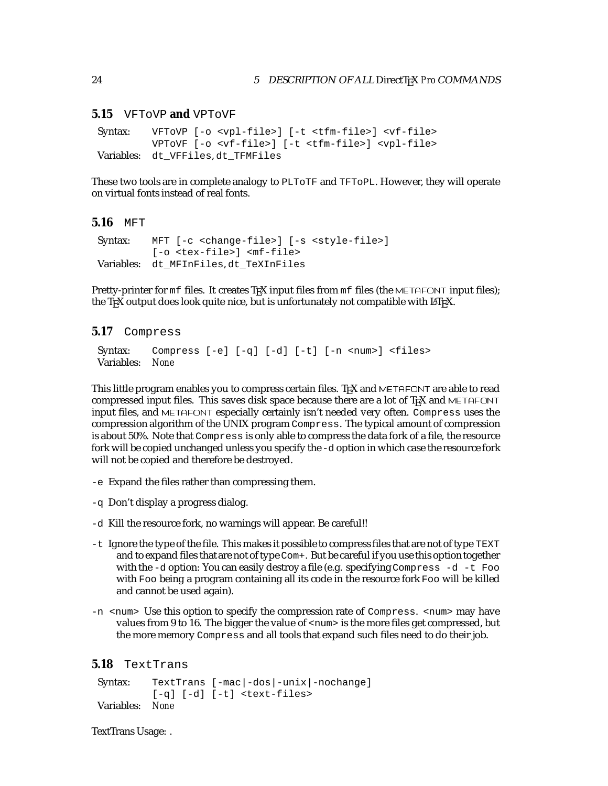#### **5.15** VFToVP **and** VPToVF

```
Syntax: VFToVP [-o <vpl-file>] [-t <tfm-file>] <vf-file>
         VPToVF [-o <vf-file>] [-t <tfm-file>] <vpl-file>
Variables: dt_VFFiles, dt_TFMFiles
```
These two tools are in complete analogy to PLToTF and TFToPL. However, they will operate on virtual fonts instead of real fonts.

#### **5.16** MFT

```
Syntax: MFT [-c <change-file>] [-s <style-file>]
         [-o <tex-file>] <mf-file>
Variables: dt_MFInFiles, dt_TeXInFiles
```
Pretty-printer for mf files. It creates T<sub>F</sub>X input files from mf files (the METAFONT input files); the T<sub>E</sub>X output does look quite nice, but is unfortunately not compatible with L<sup>AT</sup>EX.

#### **5.17** Compress

```
Syntax: Compress [-e] [-q] [-d] [-t] [-n <num>] <files>
Variables: None
```
This little program enables you to compress certain files. TEX and METAFONT are able to read compressed input files. This saves disk space because there are a lot of  $T<sub>F</sub>X$  and METAFONT input files, and METAFONT especially certainly isn't needed very often. Compress uses the compression algorithm of the UNIX program Compress. The typical amount of compression is about 50%. Note that Compress is only able to compress the data fork of a file, the resource fork will be copied unchanged unless you specify the-d option in which case the resource fork will not be copied and therefore be destroyed.

- -e Expand the files rather than compressing them.
- -q Don't display a progress dialog.
- -d Kill the resource fork, no warnings will appear. Be careful!!
- -t Ignore the type of the file. This makes it possible to compress files that are not of type TEXT and to expand files that are not of type Com+. But be careful if you use this option together with the -d option: You can easily destroy a file (e.g. specifying Compress -d -t Foo with Foo being a program containing all its code in the resource fork Foo will be killed and cannot be used again).
- -n <num> Use this option to specify the compression rate of Compress. <num> may have values from 9 to 16. The bigger the value of  $\langle \text{num} \rangle$  is the more files get compressed, but the more memory Compress and all tools that expand such files need to do their job.

#### **5.18** TextTrans

Syntax: TextTrans [-mac|-dos|-unix|-nochange] [-q] [-d] [-t] <text-files> Variables: *None*

TextTrans Usage: .

<span id="page-24-0"></span>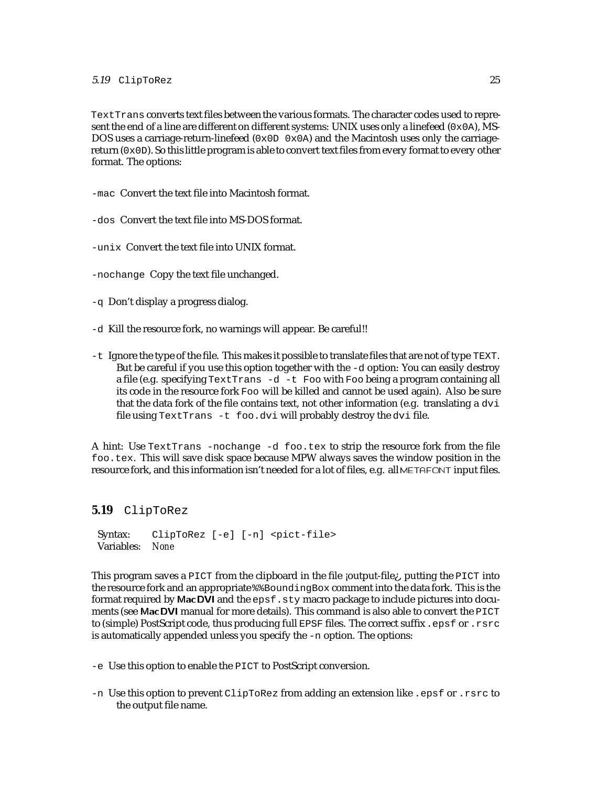#### <span id="page-25-0"></span>5.19 ClipToRez 25

TextTrans converts text files between the various formats. The character codes used to represent the end of a line are different on different systems: UNIX uses only a linefeed  $(0 \times 0)$ , MS-DOS uses a carriage-return-linefeed  $(0 \times 0D \ 0 \times 0A)$  and the Macintosh uses only the carriagereturn (0x0D). So this little program is able to convert text files from every format to every other format. The options:

-mac Convert the text file into Macintosh format.

-dos Convert the text file into MS-DOS format.

-unix Convert the text file into UNIX format.

-nochange Copy the text file unchanged.

-q Don't display a progress dialog.

- -d Kill the resource fork, no warnings will appear. Be careful!!
- -t Ignore the type of the file. This makes it possible to translate files that are not of type TEXT. But be careful if you use this option together with the -d option: You can easily destroy a file (e.g. specifying TextTrans -d -t Foo with Foo being a program containing all its code in the resource fork Foo will be killed and cannot be used again). Also be sure that the data fork of the file contains text, not other information (e.g. translating a  $d\vec{v}$ file using TextTrans -t foo.dvi will probably destroy the dvi file.

A hint: Use TextTrans -nochange -d foo.tex to strip the resource fork from the file foo.tex. This will save disk space because MPW always saves the window position in the resource fork, and this information isn't needed for a lot of files, e.g. all METAFONT input files.

#### **5.19** ClipToRez

Syntax: ClipToRez [-e] [-n] <pict-file> Variables: *None*

This program saves a  $PICT$  from the clipboard in the file  $j$ output-file; putting the  $PICT$  into the resource fork and an appropriate %%BoundingBox comment into the data fork. This is the format required by MacDVI and the epsf.sty macro package to include pictures into documents (see MacDVI manual for more details). This command is also able to convert the PICT to (simple) PostScript code, thus producing full EPSF files. The correct suffix .epsf or .rsrc is automatically appended unless you specify the -n option. The options:

-e Use this option to enable the PICT to PostScript conversion.

-n Use this option to prevent ClipToRez from adding an extension like .epsf or .rsrc to the output file name.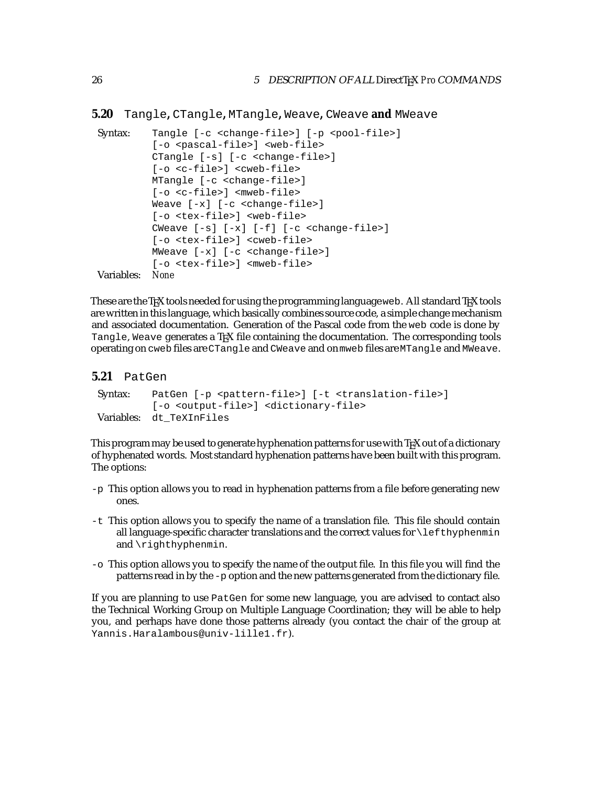<span id="page-26-0"></span>**5.20** Tangle**,** CTangle**,** MTangle**,** Weave**,** CWeave **and** MWeave

```
Syntax: Tangle [-c <change-file>] [-p <pool-file>]
         [-o <pascal-file>] <web-file>
         CTangle [-s] [-c <change-file>]
         [-o <c-file>] <cweb-file>
         MTangle [-c <change-file>]
         [-o <c-file>] <mweb-file>
         Weave [-x] [-c \times \text{change-file} > ][-o <tex-file>] <web-file>
         CWeave [-s] [-x] [-f] [-c <change-file>]
         [-o <tex-file>] <cweb-file>
         MWeave [-x] [-c <change-file>]
         [-o <tex-file>] <mweb-file>
Variables: None
```
These are the T<sub>EX</sub> tools needed for using the programming language web. All standard TEX tools are written in this language, which basically combines source code, a simple change mechanism and associated documentation. Generation of the Pascal code from the web code is done by Tangle, Weave generates a T<sub>E</sub>X file containing the documentation. The corresponding tools operating on cweb files are CTangle and CWeave and on mweb files are MTangle and MWeave.

#### **5.21** PatGen

```
Syntax: PatGen [-p <pattern-file>] [-t <translation-file>]
         [-o <output-file>] <dictionary-file>
Variables: dt_TeXInFiles
```
This program may be used to generate hyphenation patterns for use with T<sub>EX</sub> out of a dictionary of hyphenated words. Most standard hyphenation patterns have been built with this program. The options:

- -p This option allows you to read in hyphenation patterns from a file before generating new ones.
- -t This option allows you to specify the name of a translation file. This file should contain all language-specific character translations and the correct values for\lefthyphenmin and \righthyphenmin.
- -o This option allows you to specify the name of the output file. In this file you will find the patterns read in by the  $-p$  option and the new patterns generated from the dictionary file.

If you are planning to use PatGen for some new language, you are advised to contact also the Technical Working Group on Multiple Language Coordination; they will be able to help you, and perhaps have done those patterns already (you contact the chair of the group at Yannis.Haralambous@univ-lille1.fr).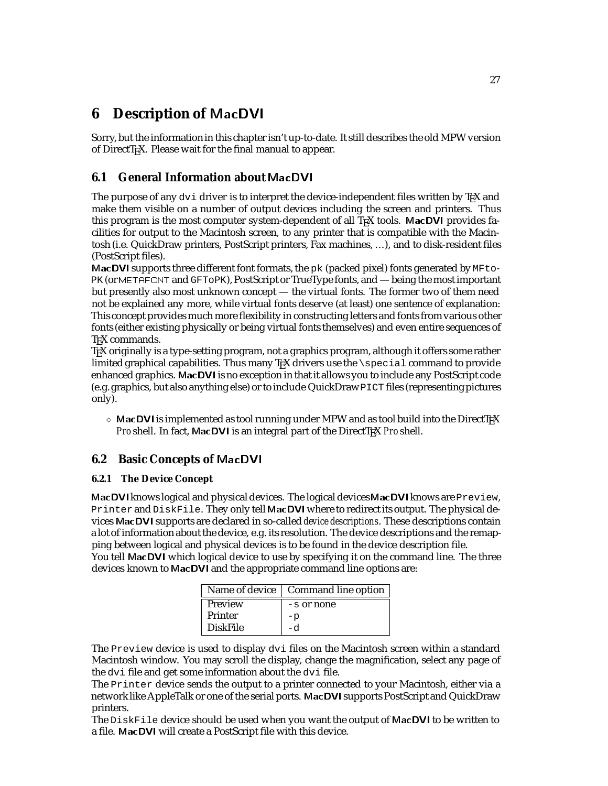# <span id="page-27-0"></span>**6 Description of** MacDVI

Sorry, but the information in this chapter isn't up-to-date. It still describes the old MPW version of DirectT<sub>E</sub>X. Please wait for the final manual to appear.

# **6.1 General Information about** MacDVI

The purpose of any  $dv_i$  driver is to interpret the device-independent files written by  $Tx$  and make them visible on a number of output devices including the screen and printers. Thus this program is the most computer system-dependent of all T<sub>E</sub>X tools. MacDVI provides facilities for output to the Macintosh screen, to any printer that is compatible with the Macintosh (i.e. QuickDraw printers, PostScript printers, Fax machines, ...), and to disk-resident files (PostScript files).

MacDVI supports three different font formats, the pk (packed pixel) fonts generated by MFto-PK (or METAFONT and GFToPK), PostScript or TrueType fonts, and — being the most important but presently also most unknown concept — the virtual fonts. The former two of them need not be explained any more, while virtual fonts deserve (at least) one sentence of explanation: This concept provides much more flexibility in constructing letters and fonts from various other fonts (either existing physically or being virtual fonts themselves) and even entire sequences of T<sub>E</sub>X commands.

TEX originally is a type-setting program, not a graphics program, although it offers some rather limited graphical capabilities. Thus many  $TeX$  drivers use the  $\sp{\text{special command}$  to provide enhanced graphics. MacDVI is no exception in that it allows you to include any PostScript code (e.g. graphics, but also anything else) or to include QuickDrawPICT files (representing pictures only).

 $\Diamond$  MacDVI is implemented as tool running under MPW and as tool build into the DirectTEX *Pro* shell. In fact, MacDVI is an integral part of the DirectT<sub>F</sub>X *Pro* shell.

# **6.2 Basic Concepts of** MacDVI

# **6.2.1 The Device Concept**

MacDVI knows logical and physical devices. The logical devices MacDVI knows are Preview, Printer and DiskFile. They only tell MacDVI where to redirect its output. The physical devices MacDVI supports are declared in so-called *device descriptions*. These descriptions contain a lot of information about the device, e.g. its resolution. The device descriptions and the remapping between logical and physical devices is to be found in the device description file. You tell MacDVI which logical device to use by specifying it on the command line. The three devices known to MacDVI and the appropriate command line options are:

|                 | Name of device   Command line option |
|-----------------|--------------------------------------|
| Preview         | $-$ s or none                        |
| Printer         | -p                                   |
| <b>DiskFile</b> |                                      |

The Preview device is used to display dvi files on the Macintosh screen within a standard Macintosh window. You may scroll the display, change the magnification, select any page of the dvi file and get some information about the dvi file.

The Printer device sends the output to a printer connected to your Macintosh, either via a network like AppleTalk or one of the serial ports. MacDVI supports PostScript and QuickDraw printers.

The DiskFile device should be used when you want the output of MacDVI to be written to a file. MacDVI will create a PostScript file with this device.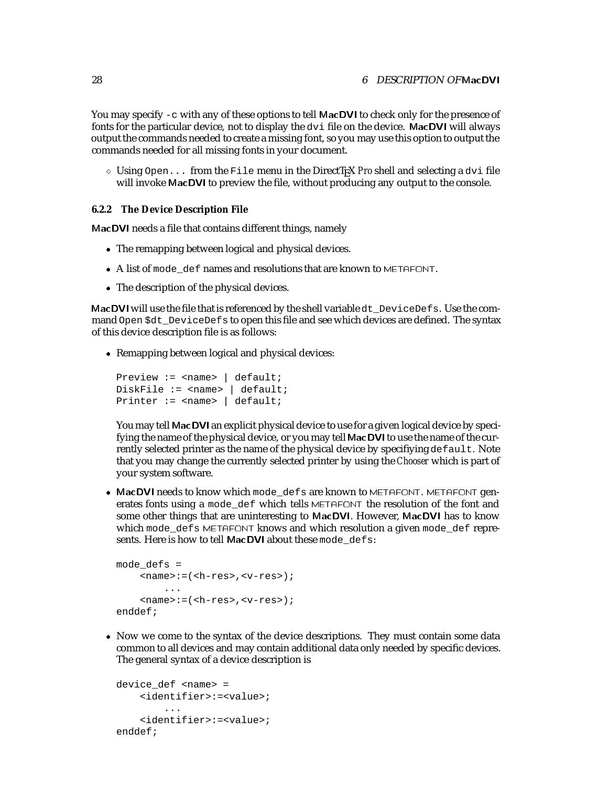<span id="page-28-0"></span>You may specify  $-c$  with any of these options to tell MacDVI to check only for the presence of fonts for the particular device, not to display the dvi file on the device. MacDVI will always output the commands needed to create a missing font, so you may use this option to output the commands needed for all missing fonts in your document.

 $\Diamond$  Using Open... from the File menu in the DirectT<sub>E</sub>X *Pro* shell and selecting a dvi file will invoke MacDVI to preview the file, without producing any output to the console.

#### **6.2.2 The Device Description File**

MacDVI needs a file that contains different things, namely

- The remapping between logical and physical devices.
- A list of mode def names and resolutions that are known to METAFONT.
- The description of the physical devices.

MacDVI will use the file that is referenced by the shell variable  $dt$  DeviceDefs. Use the command Open \$dt\_DeviceDefs to open this file and see which devices are defined. The syntax of this device description file is as follows:

• Remapping between logical and physical devices:

```
Preview := <name> | default;
DiskFile := <name> | default;
Printer := \langlename> | default;
```
You may tell MacDVI an explicit physical device to use for a given logical device by specifying the name of the physical device, or you may tell MacDVI to use the name of the currently selected printer as the name of the physical device by specifiying default. Note that you may change the currently selected printer by using the *Chooser* which is part of your system software.

• MacDVI needs to know which mode defs are known to METAFONT. METAFONT generates fonts using a mode\_def which tells METAFONT the resolution of the font and some other things that are uninteresting to MacDVI. However, MacDVI has to know which mode\_defs METAFONT knows and which resolution a given mode\_def represents. Here is how to tell MacDVI about these mode defs:

```
mode_defs =
    <name>:=(<h-res>,<v-res>);
        ...
    <name>:=(<h-res>,<v-res>);
enddef;
```
• Now we come to the syntax of the device descriptions. They must contain some data common to all devices and may contain additional data only needed by specific devices. The general syntax of a device description is

```
device_def <name> =
    <identifier>:=<value>;
        ...
    <identifier>:=<value>;
enddef;
```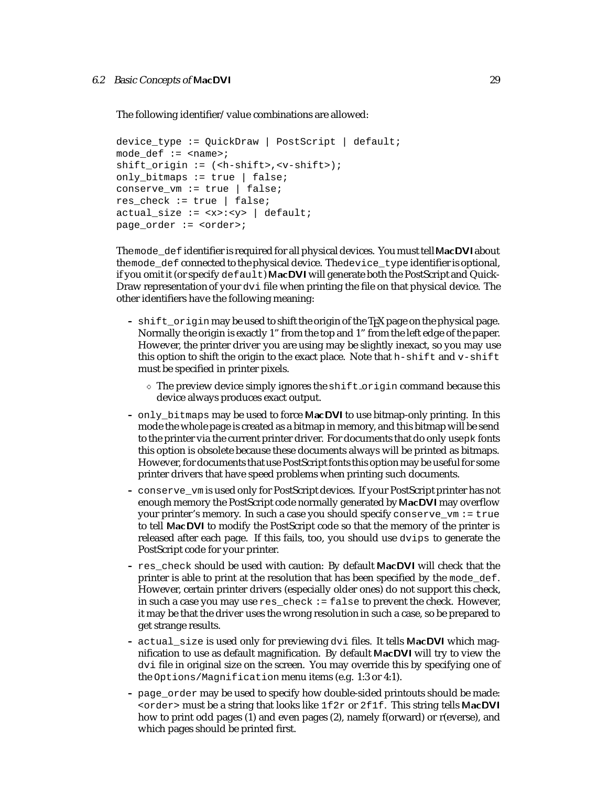The following identifier/value combinations are allowed:

```
device_type := QuickDraw | PostScript | default;
mode\_def := \text{name}:shift_origin := (<h-shift>,<v-shift>);
only_bitmaps := true | false;
conserve_vm := true | false;
res_check := true | false;
actual size := <x>:<y> | default;
page order := <order>;
```
The mode\_def identifier is required for all physical devices. You must tell MacDVI about themode\_def connected to the physical device. Thedevice\_typeidentifier is optional, if you omit it (or specify default) MacDVI will generate both the PostScript and Quick-Draw representation of your  $dv$  if lee when printing the file on that physical device. The other identifiers have the following meaning:

- **–** shift\_origin may be used to shift the origin of the TEX page on the physical page. Normally the origin is exactly 1" from the top and 1" from the left edge of the paper. However, the printer driver you are using may be slightly inexact, so you may use this option to shift the origin to the exact place. Note that  $h$ -shift and  $v$ -shift must be specified in printer pixels.
	- $\Diamond$  The preview device simply ignores the shift origin command because this device always produces exact output.
- **–** only\_bitmaps may be used to force MacDVI to use bitmap-only printing. In this mode the whole page is created as a bitmap in memory, and this bitmap will be send to the printer via the current printer driver. For documents that do only usepk fonts this option is obsolete because these documents always will be printed as bitmaps. However, for documents that use PostScript fonts this option may be useful for some printer drivers that have speed problems when printing such documents.
- **–** conserve\_vm is used only for PostScript devices. If your PostScript printer has not enough memory the PostScript code normally generated by MacDVI may overflow your printer's memory. In such a case you should specify conserve\_vm := true to tell MacDVI to modify the PostScript code so that the memory of the printer is released after each page. If this fails, too, you should use dvips to generate the PostScript code for your printer.
- **–** res\_check should be used with caution: By default MacDVI will check that the printer is able to print at the resolution that has been specified by the mode\_def. However, certain printer drivers (especially older ones) do not support this check, in such a case you may use res check  $:=$  false to prevent the check. However, it may be that the driver uses the wrong resolution in such a case, so be prepared to get strange results.
- **–** actual\_size is used only for previewing dvi files. It tells MacDVI which magnification to use as default magnification. By default MacDVI will try to view the dvi file in original size on the screen. You may override this by specifying one of the Options/Magnification menu items (e.g. 1:3 or 4:1).
- **–** page\_order may be used to specify how double-sided printouts should be made:  $\langle \text{order} \rangle$  must be a string that looks like  $1f2r$  or  $2f1f$ . This string tells MacDVI how to print odd pages (1) and even pages (2), namely f(orward) or r(everse), and which pages should be printed first.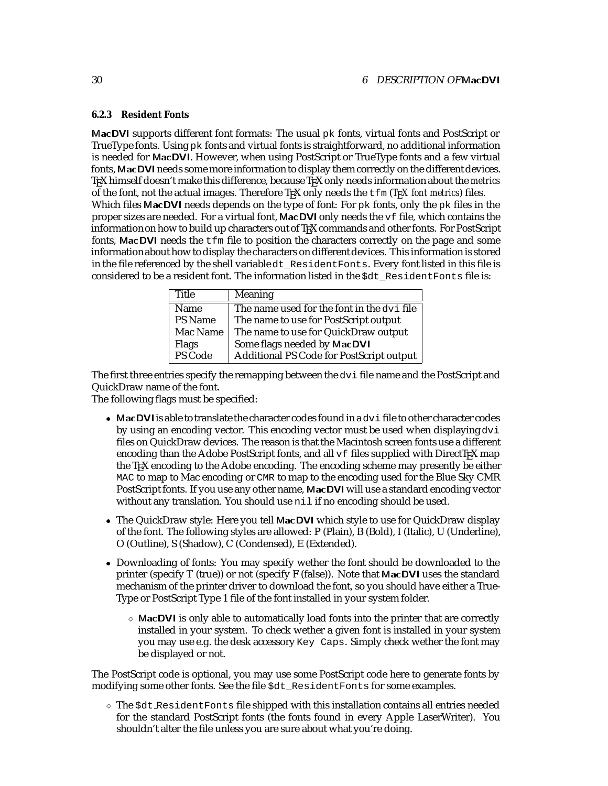#### <span id="page-30-0"></span>**6.2.3 Resident Fonts**

MacDVI supports different font formats: The usual  $pk$  fonts, virtual fonts and PostScript or TrueType fonts. Using  $pk$  fonts and virtual fonts is straightforward, no additional information is needed for MacDVI. However, when using PostScript or TrueType fonts and a few virtual fonts, MacDVI needs some more information to display them correctly on the different devices. TEX himself doesn't make this difference, because TEX only needs information about the *metrics* of the font, not the actual images. Therefore  $T_F X$  only needs the  $t fm$  ( $T_F X$  font metrics) files. Which files MacDVI needs depends on the type of font: For  $pk$  fonts, only the  $pk$  files in the proper sizes are needed. For a virtual font, MacDVI only needs the vf file, which contains the information on how to build up characters out of TEX commands and other fonts. For PostScript fonts, MacDVI needs the  $\pm \text{fm}$  file to position the characters correctly on the page and some informationabout how to display the characters on different devices. This information is stored in the file referenced by the shell variable dt\_ResidentFonts. Every font listed in this file is considered to be a resident font. The information listed in the \$dt\_ResidentFonts file is:

| Title    | <b>Meaning</b>                             |
|----------|--------------------------------------------|
| Name     | The name used for the font in the dvi file |
| PS Name  | The name to use for PostScript output      |
| Mac Name | The name to use for QuickDraw output       |
| Flags    | Some flags needed by MacDVI                |
| PS Code  | Additional PS Code for PostScript output   |

The first three entries specify the remapping between the dvi file name and the PostScript and QuickDraw name of the font.

The following flags must be specified:

- $\bullet$  MacDVI is able to translate the character codes found in a  $\text{dv}$  i file to other character codes by using an encoding vector. This encoding vector must be used when displaying dvi files on QuickDraw devices. The reason is that the Macintosh screen fonts use a different encoding than the Adobe PostScript fonts, and all  $\forall$  files supplied with DirectTEX map the TEX encoding to the Adobe encoding. The encoding scheme may presently be either MAC to map to Mac encoding or CMR to map to the encoding used for the Blue Sky CMR PostScript fonts. If you use any other name, MacDVI will use a standard encoding vector without any translation. You should use nil if no encoding should be used.
- The QuickDraw style: Here you tell MacDVI which style to use for QuickDraw display of the font. The following styles are allowed: P (Plain), B (Bold), I (Italic), U (Underline), O (Outline), S (Shadow), C (Condensed), E (Extended).
- Downloading of fonts: You may specify wether the font should be downloaded to the printer (specify T (true)) or not (specify F (false)). Note that MacDVI uses the standard mechanism of the printer driver to download the font, so you should have either a True-Type or PostScript Type 1 file of the font installed in your system folder.
	- $\Diamond$  MacDVI is only able to automatically load fonts into the printer that are correctly installed in your system. To check wether a given font is installed in your system you may use e.g. the desk accessory Key Caps. Simply check wether the font may be displayed or not.

The PostScript code is optional, you may use some PostScript code here to generate fonts by modifying some other fonts. See the file \$dt\_ResidentFonts for some examples.

 $\Diamond$  The  $\Diamond$ dt ResidentFonts file shipped with this installation contains all entries needed for the standard PostScript fonts (the fonts found in every Apple LaserWriter). You shouldn't alter the file unless you are sure about what you're doing.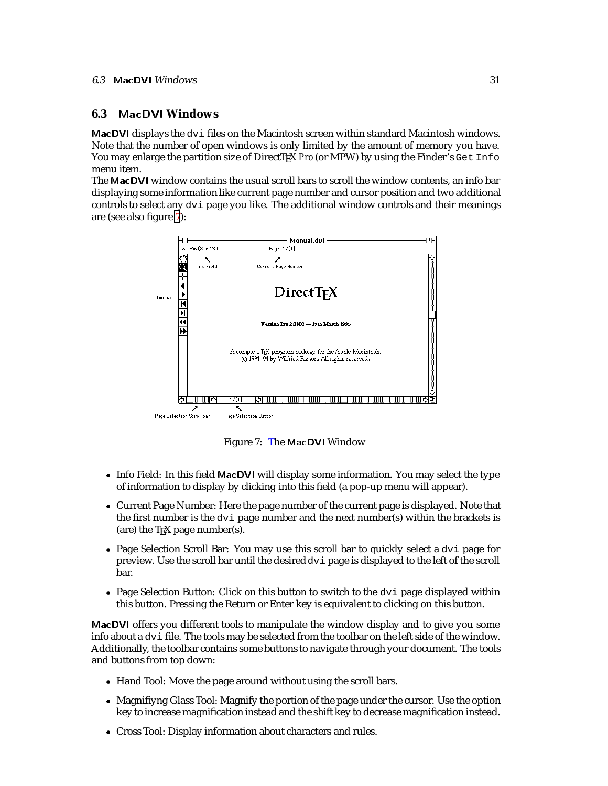#### <span id="page-31-0"></span>6.3 MacDVI Windows 31

### **6.3** MacDVI **Windows**

MacDVI displays the dvi files on the Macintosh screen within standard Macintosh windows. Note that the number of open windows is only limited by the amount of memory you have. You may enlarge the partition size of DirectT<sub>F</sub>X *Pro* (or MPW) by using the Finder's Get Info menu item.

The MacDVI window contains the usual scroll bars to scroll the window contents, an info bar displaying some information like current page number and cursor position and two additional controls to select any dvi page you like. The additional window controls and their meanings are (see also figure 7):



Figure 7: The MacDVI Window

- Info Field: In this field MacDVI will display some information. You may select the type of information to display by clicking into this field (a pop-up menu will appear).
- Current Page Number: Here the page number of the current page is displayed. Note that the first number is the  $d\vee i$  page number and the next number(s) within the brackets is (are) the  $T_FX$  page number(s).
- Page Selection Scroll Bar: You may use this scroll bar to quickly select a dvi page for preview. Use the scroll bar until the desired  $\text{div}$  page is displayed to the left of the scroll bar.
- Page Selection Button: Click on this button to switch to the  $\text{div}$  page displayed within this button. Pressing the Return or Enter key is equivalent to clicking on this button.

MacDVI offers you different tools to manipulate the window display and to give you some info about a dvi file. The tools may be selected from the toolbar on the left side of the window. Additionally, the toolbar contains some buttons to navigate through your document. The tools and buttons from top down:

- Hand Tool: Move the page around without using the scroll bars.
- Magnifiyng Glass Tool: Magnify the portion of the page under the cursor. Use the option key to increase magnification instead and the shift key to decrease magnification instead.
- Cross Tool: Display information about characters and rules.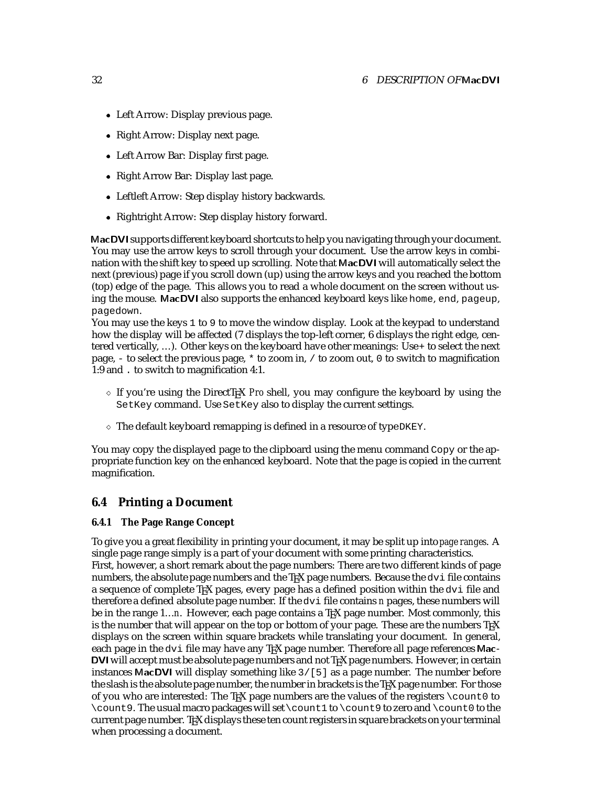- <span id="page-32-0"></span>Left Arrow: Display previous page.
- Right Arrow: Display next page.
- Left Arrow Bar: Display first page.
- Right Arrow Bar: Display last page.
- Leftleft Arrow: Step display history backwards.
- Rightright Arrow: Step display history forward.

MacDVI supports different keyboard shortcuts to help you navigating through your document. You may use the arrow keys to scroll through your document. Use the arrow keys in combination with the shift key to speed up scrolling. Note that MacDVI will automatically select the next (previous) page if you scroll down (up) using the arrow keys and you reached the bottom (top) edge of the page. This allows you to read a whole document on the screen without using the mouse. MacDVI also supports the enhanced keyboard keys like home, end, pageup, pagedown.

You may use the keys 1 to 9 to move the window display. Look at the keypad to understand how the display will be affected (7 displays the top-left corner, 6 displays the right edge, centered vertically, ...). Other keys on the keyboard have other meanings: Use+ to select the next page,  $-$  to select the previous page,  $*$  to zoom in,  $\prime$  to zoom out, 0 to switch to magnification 1:9 and . to switch to magnification 4:1.

- $\circ$  If you're using the DirectT<sub>EX</sub> *Pro* shell, you may configure the keyboard by using the SetKey command. Use SetKey also to display the current settings.
- $\Diamond$  The default keyboard remapping is defined in a resource of type DKEY.

You may copy the displayed page to the clipboard using the menu command Copy or the appropriate function key on the enhanced keyboard. Note that the page is copied in the current magnification.

### **6.4 Printing a Document**

#### **6.4.1 The Page Range Concept**

To give you a great flexibility in printing your document, it may be split up into*page ranges*. A single page range simply is a part of your document with some printing characteristics. First, however, a short remark about the page numbers: There are two different kinds of page numbers, the absolute page numbers and the  $TeX$  page numbers. Because the  $dv$  if the contains a sequence of complete T<sub>E</sub>X pages, every page has a defined position within the  $dv$  i file and therefore a defined absolute page number. If the dvi file contains *n* pages, these numbers will be in the range 1...*n*. However, each page contains a T<sub>E</sub>X page number. Most commonly, this is the number that will appear on the top or bottom of your page. These are the numbers  $T_F X$ displays on the screen within square brackets while translating your document. In general, each page in the dvi file may have any TEX page number. Therefore all page references Mac-DVI will accept must be absolute page numbers and not T<sub>F</sub>X page numbers. However, in certain instances MacDVI will display something like 3/[5] as a page number. The number before the slash is the absolute page number, the number in brackets is the T<sub>E</sub>X page number. For those of you who are interested: The T<sub>EX</sub> page numbers are the values of the registers  $\cosh 0$  to \count9. The usual macro packages will set \count1 to \count9 to zero and \count0 to the current page number. TEX displays these ten count registers in square brackets on your terminal when processing a document.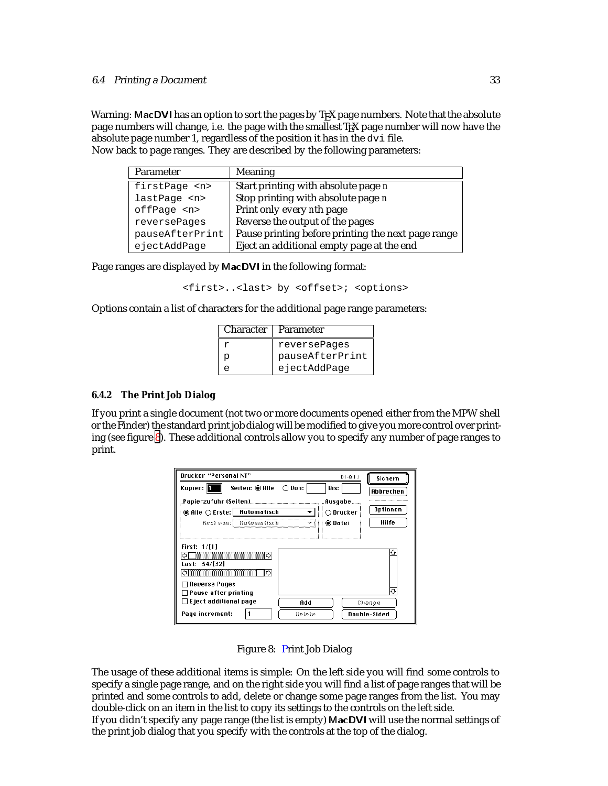#### <span id="page-33-0"></span>6.4 Printing <sup>a</sup> Document 33

Warning: MacDVI has an option to sort the pages by T<sub>E</sub>X page numbers. Note that the absolute page numbers will change, i.e. the page with the smallest T<sub>EX</sub> page number will now have the absolute page number 1, regardless of the position it has in the dvi file. Now back to page ranges. They are described by the following parameters:

| Parameter         | <b>Meaning</b>                                     |
|-------------------|----------------------------------------------------|
| firstPage <n></n> | Start printing with absolute page n                |
| lastPage <n></n>  | Stop printing with absolute page n                 |
| offPage <n></n>   | Print only every nth page                          |
| reversePages      | Reverse the output of the pages                    |
| pauseAfterPrint   | Pause printing before printing the next page range |
| ejectAddPage      | Eject an additional empty page at the end          |

Page ranges are displayed by MacDVI in the following format:

<first>..<last> by <offset>; <options>

Options contain a list of characters for the additional page range parameters:

|   | Character   Parameter |
|---|-----------------------|
|   | reversePages          |
| p | pauseAfterPrint       |
| ≏ | ejectAddPage          |

#### **6.4.2 The Print Job Dialog**

If you print a single document (not two or more documents opened either from the MPW shell or the Finder) the standard print job dialog will be modified to give you more control over printing (see figure 8). These additional controls allow you to specify any number of page ranges to print.

| Drucker "Personal NT"                                                                          | $D1 - 8.1.1$   | Sichern                |
|------------------------------------------------------------------------------------------------|----------------|------------------------|
| Seiten: @ Alle<br>Kopien:   <mark>1</mark><br>∴ ( ) Von:                                       | Bis:           | Abbrechen              |
|                                                                                                | .Ausgabe       |                        |
| ◉ Alle ○ Erste: Rutomatisch                                                                    | $\cap$ Drucker | Optionen               |
| Rest pan: Rutomatisch                                                                          | ⊛ Datei        | Hilfe                  |
| First: 1/[1]<br>Last: 34/[32]<br>] Reverse Pages                                               |                |                        |
| ∏Pause after printing<br>$\sqsupset$ Eject additional page<br>Add<br>Page increment:<br>Belete |                | Change<br>Double-Sided |

Figure 8: Print Job Dialog

The usage of these additional items is simple: On the left side you will find some controls to specify a single page range, and on the right side you will find a list of page ranges that will be printed and some controls to add, delete or change some page ranges from the list. You may double-click on an item in the list to copy its settings to the controls on the left side.

If you didn't specify any page range (the list is empty) MacDVI will use the normal settings of the print job dialog that you specify with the controls at the top of the dialog.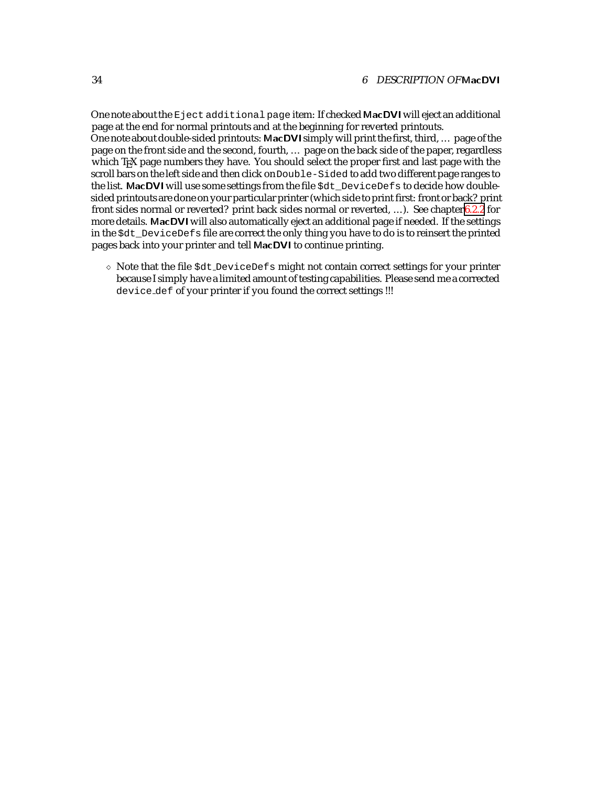One note about the Eject additional page item: If checked MacDVI will eject an additional page at the end for normal printouts and at the beginning for reverted printouts. One note about double-sided printouts: MacDVI simply will print the first, third, ... page of the page on the front side and the second, fourth, ... page on the back side of the paper, regardless which T<sub>E</sub>X page numbers they have. You should select the proper first and last page with the scroll bars on the left side and then click onDouble-Sided to add two different page ranges to the list. MacDVI will use some settings from the file  $Sdt$  DeviceDefs to decide how doublesided printouts are done on your particular printer (which side to print first: front or back? print front sides normal or reverted? print back sides normal or reverted, ...). See chapter[6.2.2](#page-28-0) for more details. MacDVI will also automatically eject an additional page if needed. If the settings in the \$dt\_DeviceDefs file are correct the only thing you have to do is to reinsert the printed pages back into your printer and tell MacDVI to continue printing.

 $\Diamond$  Note that the file  $\diamond$ dt DeviceDefs might not contain correct settings for your printer because I simply have a limited amount of testing capabilities. Please send me a corrected device def of your printer if you found the correct settings !!!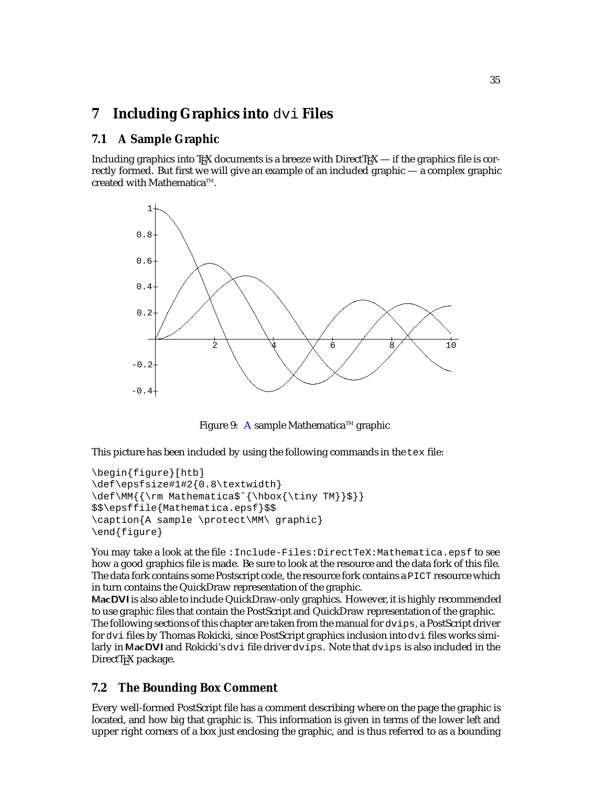# <span id="page-35-0"></span>**7 Including Graphics into** dvi **Files**

# **7.1 A Sample Graphic**

Including graphics into T<sub>EX</sub> documents is a breeze with DirectT<sub>EX</sub> — if the graphics file is correctly formed. But first we will give an example of an included graphic — a complex graphic created with Mathematica<sup>TM</sup>.



Figure 9: A sample Mathematica<sup>™</sup> graphic

This picture has been included by using the following commands in the tex file:

```
\begin{figure}[htb]
\def\epsfsize#1#2{0.8\textwidth}
\def\MM{{\rm Mathematica$ˆ{\hbox{\tiny TM}}$}}
$$\epsffile{Mathematica.epsf}$$
\caption{A sample \protect\MM\ graphic}
\end{figure}
```
You may take a look at the file : Include-Files: DirectTeX: Mathematica.epsf to see how a good graphics file is made. Be sure to look at the resource and the data fork of this file. The data fork contains some Postscript code, the resource fork contains a PICT resource which in turn contains the QuickDraw representation of the graphic.

MacDVI is also able to include QuickDraw-only graphics. However, it is highly recommended to use graphic files that contain the PostScript and QuickDraw representation of the graphic. The following sections of this chapter are taken from the manual for dvips, a PostScript driver for dvi files by Thomas Rokicki, since PostScript graphics inclusion intodvi files works similarly in MacDVI and Rokicki's dvi file driver dvips. Note that dvips is also included in the DirectTEX package.

# **7.2 The Bounding Box Comment**

Every well-formed PostScript file has a comment describing where on the page the graphic is located, and how big that graphic is. This information is given in terms of the lower left and upper right corners of a box just enclosing the graphic, and is thus referred to as a bounding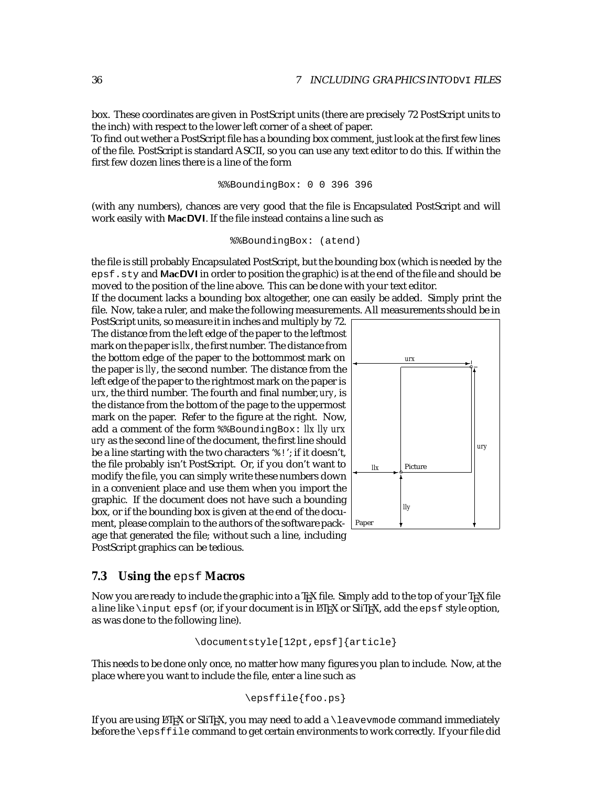<span id="page-36-0"></span>box. These coordinates are given in PostScript units (there are precisely 72 PostScript units to the inch) with respect to the lower left corner of a sheet of paper.

To find out wether a PostScript file has a bounding box comment, just look at the first few lines of the file. PostScript is standard ASCII, so you can use any text editor to do this. If within the first few dozen lines there is a line of the form

%%BoundingBox: 0 0 396 396

(with any numbers), chances are very good that the file is Encapsulated PostScript and will work easily with MacDVI. If the file instead contains a line such as

```
%%BoundingBox: (atend)
```
the file is still probably Encapsulated PostScript, but the bounding box (which is needed by the epsf.sty and MacDVI in order to position the graphic) is at the end of the file and should be moved to the position of the line above. This can be done with your text editor.

If the document lacks a bounding box altogether, one can easily be added. Simply print the file. Now, take a ruler, and make the following measurements. All measurements should be in

PostScript units, so measure it in inches and multiply by 72. The distance from the left edge of the paper to the leftmost mark on the paper is *llx*, the first number. The distance from the bottom edge of the paper to the bottommost mark on the paper is *lly*, the second number. The distance from the left edge of the paper to the rightmost mark on the paper is *urx*, the third number. The fourth and final number,*ury*, is the distance from the bottom of the page to the uppermost mark on the paper. Refer to the figure at the right. Now, add a comment of the form %%BoundingBox: *llx lly urx ury* as the second line of the document, the first line should be a line starting with the two characters '%!'; if it doesn't, the file probably isn't PostScript. Or, if you don't want to modify the file, you can simply write these numbers down in a convenient place and use them when you import the graphic. If the document does not have such a bounding box, or if the bounding box is given at the end of the document, please complain to the authors of the software package that generated the file; without such a line, including PostScript graphics can be tedious.



?

#### **7.3 Using the** epsf **Macros**

Now you are ready to include the graphic into a T<sub>EX</sub> file. Simply add to the top of your T<sub>EX</sub> file a line like  $\infty$  epsf (or, if your document is in EIFX or SliTFX, add the epsf style option, as was done to the following line).

$$
\verb|\documentstyle[12pt,epsf]{article}|
$$

This needs to be done only once, no matter how many figures you plan to include. Now, at the place where you want to include the file, enter a line such as

\epsffile{foo.ps}

If you are using LATEX or SliTEX, you may need to add a  $\lambda$  eavevmode command immediately before the \epsffile command to get certain environments to work correctly. If your file did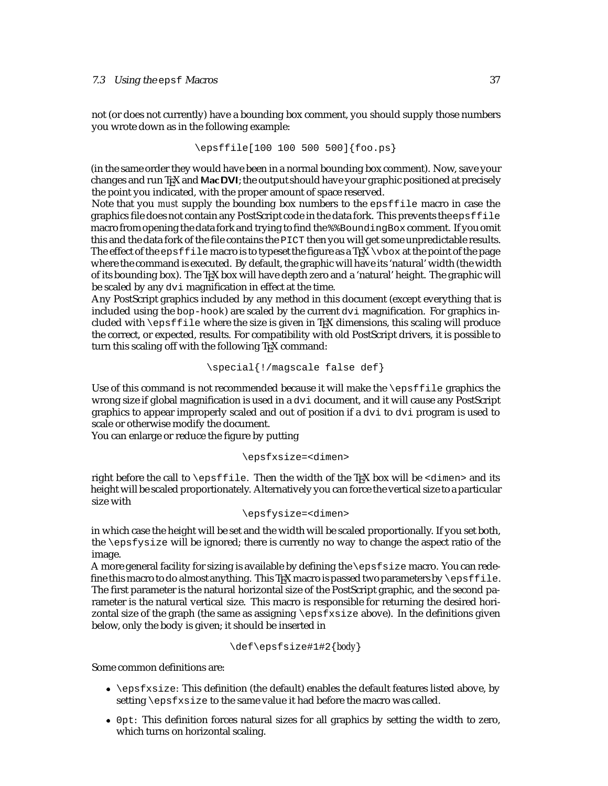not (or does not currently) have a bounding box comment, you should supply those numbers you wrote down as in the following example:

```
\epsffile[100 100 500 500]{foo.ps}
```
(in the same order they would have been in a normal bounding box comment). Now, save your changes and run T<sub>E</sub>X and MacDVI; the output should have your graphic positioned at precisely the point you indicated, with the proper amount of space reserved.

Note that you *must* supply the bounding box numbers to the epsffile macro in case the graphics file does not contain any PostScript code in the data fork. This prevents the  $epsffile$ macro from opening the data fork and trying to find the%%BoundingBoxcomment. If you omit this and the data fork of the file contains the PICT then you will get some unpredictable results. The effect of the epsffile macro is to typeset the figure as a T<sub>E</sub>X \vbox at the point of the page where the command is executed. By default, the graphic will have its 'natural' width (the width of its bounding box). The TEX box will have depth zero and a 'natural' height. The graphic will be scaled by any dvi magnification in effect at the time.

Any PostScript graphics included by any method in this document (except everything that is included using the  $bop-hook$ ) are scaled by the current  $dv$  in magnification. For graphics included with  $\epsilon$  is filed where the size is given in T<sub>E</sub>X dimensions, this scaling will produce the correct, or expected, results. For compatibility with old PostScript drivers, it is possible to turn this scaling off with the following T<sub>E</sub>X command:

```
\special{!/magscale false def}
```
Use of this command is not recommended because it will make the \epsffile graphics the wrong size if global magnification is used in a dvi document, and it will cause any PostScript graphics to appear improperly scaled and out of position if a dvi to dvi program is used to scale or otherwise modify the document.

You can enlarge or reduce the figure by putting

#### \epsfxsize=<dimen>

right before the call to \epsffile. Then the width of the TEX box will be <dimen> and its height will be scaled proportionately. Alternatively you can force the vertical size to a particular size with

```
\epsfysize=<dimen>
```
in which case the height will be set and the width will be scaled proportionally. If you set both, the \epsfysize will be ignored; there is currently no way to change the aspect ratio of the image.

A more general facility for sizing is available by defining the \epsfsize macro. You can redefine this macro to do almost anything. This T<sub>E</sub>X macro is passed two parameters by  $\epsilon$  is file. The first parameter is the natural horizontal size of the PostScript graphic, and the second parameter is the natural vertical size. This macro is responsible for returning the desired horizontal size of the graph (the same as assigning \epsfxsize above). In the definitions given below, only the body is given; it should be inserted in

```
\def\epsfsize#1#2{body}
```
Some common definitions are:

- $\bullet$  \epsfxsize: This definition (the default) enables the default features listed above, by setting \epsfxsize to the same value it had before the macro was called.
- 0pt: This definition forces natural sizes for all graphics by setting the width to zero, which turns on horizontal scaling.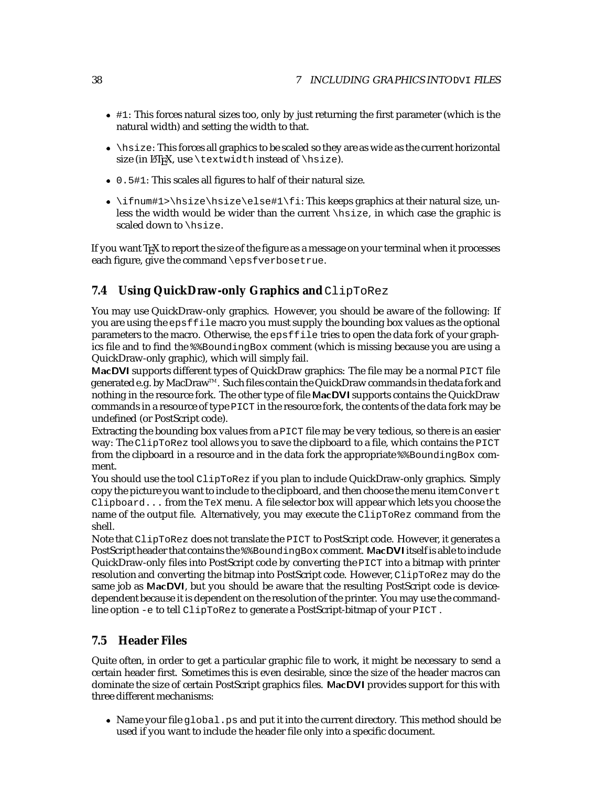- <span id="page-38-0"></span> #1: This forces natural sizes too, only by just returning the first parameter (which is the natural width) and setting the width to that.
- \hsize: This forces all graphics to be scaled so they are as wide as the current horizontal size (in  $\mathbb{F}X$ , use \textwidth instead of \hsize).
- 0.5#1: This scales all figures to half of their natural size.
- $\bullet$  \ifnum#1>\hsize\hsize\else#1\fi: This keeps graphics at their natural size, unless the width would be wider than the current \hsize, in which case the graphic is scaled down to \hsize.

If you want T<sub>E</sub>X to report the size of the figure as a message on your terminal when it processes each figure, give the command \epsfverbosetrue.

### **7.4 Using QuickDraw-only Graphics and ClipToRez**

You may use QuickDraw-only graphics. However, you should be aware of the following: If you are using the epsffile macro you must supply the bounding box values as the optional parameters to the macro. Otherwise, the eps  $f_i$  is the strip open the data fork of your graphics file and to find the %%BoundingBox comment (which is missing because you are using a QuickDraw-only graphic), which will simply fail.

MacDVI supports different types of QuickDraw graphics: The file may be a normal PICT file generated e.g. by MacDraw<sup>™</sup>. Such files contain the QuickDraw commands in the data fork and nothing in the resource fork. The other type of file MacDVI supports contains the QuickDraw commands in a resource of type PICT in the resource fork, the contents of the data fork may be undefined (or PostScript code).

Extracting the bounding box values from a PICT file may be very tedious, so there is an easier way: The ClipToRez tool allows you to save the clipboard to a file, which contains the PICT from the clipboard in a resource and in the data fork the appropriate  $\frac{1}{2}$ BoundingBox comment.

You should use the tool ClipToRez if you plan to include QuickDraw-only graphics. Simply copy the picture you want to include to the clipboard, and then choose the menu itemConvert  $Clipboard...$  from the TeX menu. A file selector box will appear which lets you choose the name of the output file. Alternatively, you may execute the ClipToRez command from the shell.

Note that ClipToRez does not translate the PICT to PostScript code. However, it generates a PostScript header that contains the %%BoundingBox comment. MacDVI itself is able to include QuickDraw-only files into PostScript code by converting the PICT into a bitmap with printer resolution and converting the bitmap into PostScript code. However, ClipToRez may do the same job as MacDVI, but you should be aware that the resulting PostScript code is devicedependent because it is dependent on the resolution of the printer. You may use the commandline option -e to tell ClipToRez to generate a PostScript-bitmap of your PICT .

### **7.5 Header Files**

Quite often, in order to get a particular graphic file to work, it might be necessary to send a certain header first. Sometimes this is even desirable, since the size of the header macros can dominate the size of certain PostScript graphics files. MacDVI provides support for this with three different mechanisms:

• Name your file global. ps and put it into the current directory. This method should be used if you want to include the header file only into a specific document.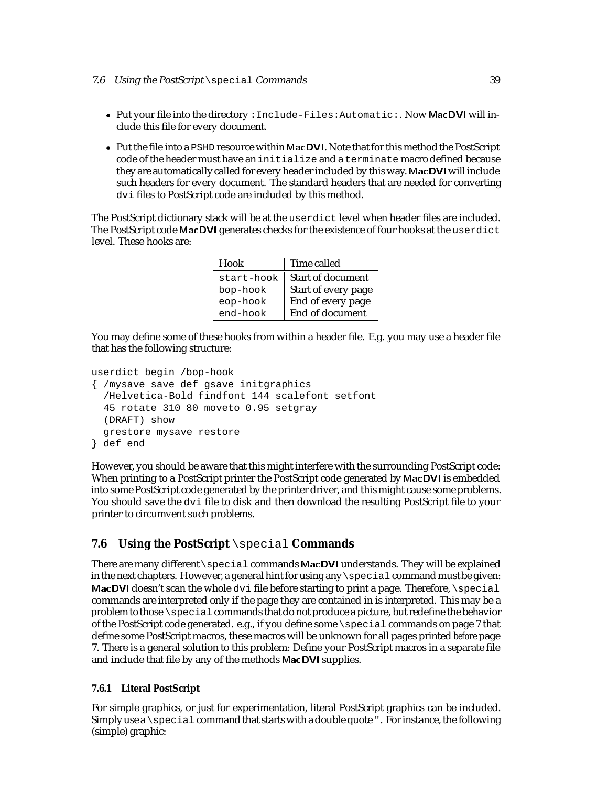- <span id="page-39-0"></span> Put your file into the directory :Include-Files:Automatic:. Now MacDVI will include this file for every document.
- Put the file into a PSHD resource within MacDVI. Note that for this method the PostScript code of the header must have an initialize and a terminate macro defined because they are automatically called for every header included by this way. MacDVI will include such headers for every document. The standard headers that are needed for converting dvi files to PostScript code are included by this method.

The PostScript dictionary stack will be at the userdict level when header files are included. The PostScript code MacDVI generates checks for the existence of four hooks at the userdict level. These hooks are:

| Hook       | Time called              |
|------------|--------------------------|
| start-hook | <b>Start of document</b> |
| bop-hook   | Start of every page      |
| eop-hook   | End of every page        |
| end-hook   | End of document          |

You may define some of these hooks from within a header file. E.g. you may use a header file that has the following structure:

```
userdict begin /bop-hook
{ /mysave save def gsave initgraphics
  /Helvetica-Bold findfont 144 scalefont setfont
  45 rotate 310 80 moveto 0.95 setgray
  (DRAFT) show
  grestore mysave restore
} def end
```
However, you should be aware that this might interfere with the surrounding PostScript code: When printing to a PostScript printer the PostScript code generated by MacDVI is embedded into some PostScript code generated by the printer driver, and this might cause some problems. You should save the dvi file to disk and then download the resulting PostScript file to your printer to circumvent such problems.

# **7.6 Using the PostScript** \special **Commands**

There are many different\special commands MacDVI understands. They will be explained in the next chapters. However, a general hint for using any\special command must be given: MacDVI doesn't scan the whole dvi file before starting to print a page. Therefore,  $\searrow$ commands are interpreted only if the page they are contained in is interpreted. This may be a problem to those \specialcommands that do not produce a picture, but redefine the behavior of the PostScript code generated. e.g., if you define some \special commands on page 7 that define some PostScript macros, these macros will be unknown for all pages printed *before* page 7. There is a general solution to this problem: Define your PostScript macros in a separate file and include that file by any of the methods MacDVI supplies.

#### **7.6.1 Literal PostScript**

For simple graphics, or just for experimentation, literal PostScript graphics can be included. Simply use a  $\epsilon$  special command that starts with a double quote  $\epsilon$ . For instance, the following (simple) graphic: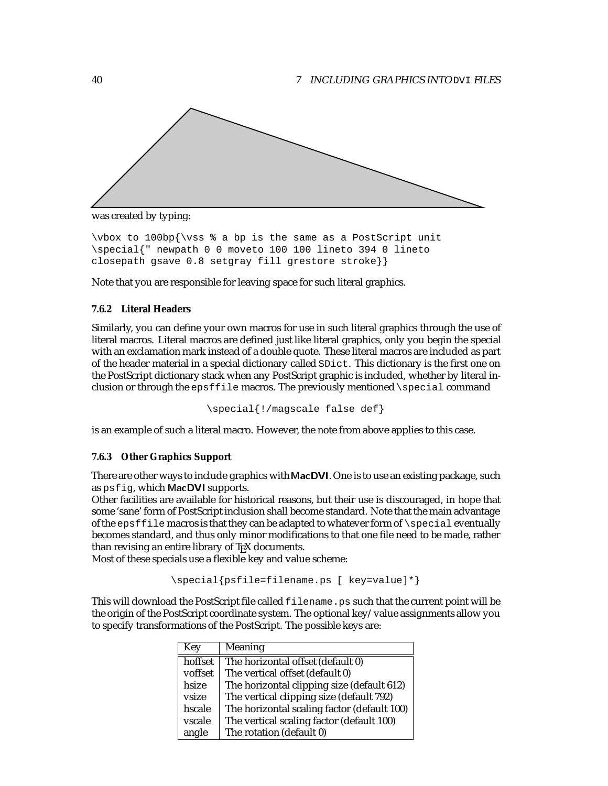<span id="page-40-0"></span>

was created by typing:

\vbox to 100bp{\vss % a bp is the same as a PostScript unit \special{" newpath 0 0 moveto 100 100 lineto 394 0 lineto closepath gsave 0.8 setgray fill grestore stroke}}

Note that you are responsible for leaving space for such literal graphics.

#### **7.6.2 Literal Headers**

Similarly, you can define your own macros for use in such literal graphics through the use of literal macros. Literal macros are defined just like literal graphics, only you begin the special with an exclamation mark instead of a double quote. These literal macros are included as part of the header material in a special dictionary called SDict. This dictionary is the first one on the PostScript dictionary stack when any PostScript graphic is included, whether by literal inclusion or through the epsffile macros. The previously mentioned  $\simeq$  special command

\special{!/magscale false def}

is an example of such a literal macro. However, the note from above applies to this case.

#### **7.6.3 Other Graphics Support**

There are other ways to include graphics with MacDVI. One is to use an existing package, such as psfig, which MacDVI supports.

Other facilities are available for historical reasons, but their use is discouraged, in hope that some 'sane' form of PostScript inclusion shall become standard. Note that the main advantage of the epsffile macros is that they can be adapted to whatever form of  $\searrow$  special eventually becomes standard, and thus only minor modifications to that one file need to be made, rather than revising an entire library of T<sub>EX</sub> documents.

Most of these specials use a flexible key and value scheme:

```
\special{psfile=filename.ps [ key=value]*}
```
This will download the PostScript file called filename.ps such that the current point will be the origin of the PostScript coordinate system. The optional key/value assignments allow you to specify transformations of the PostScript. The possible keys are:

| Key     | <b>Meaning</b>                              |
|---------|---------------------------------------------|
| hoffset | The horizontal offset (default 0)           |
| voffset | The vertical offset (default 0)             |
| hsize   | The horizontal clipping size (default 612)  |
| vsize   | The vertical clipping size (default 792)    |
| hscale  | The horizontal scaling factor (default 100) |
| vscale  | The vertical scaling factor (default 100)   |
| angle   | The rotation (default 0)                    |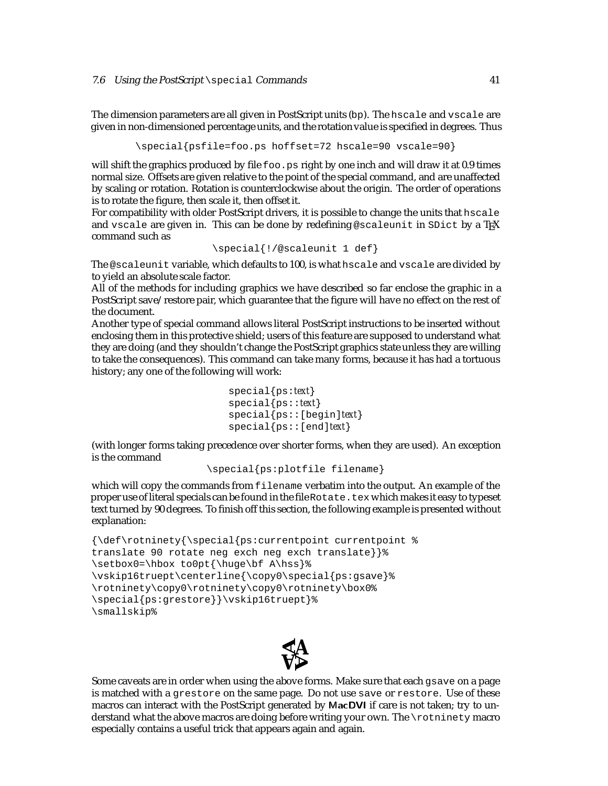The dimension parameters are all given in PostScript units (bp). The hscale and vscale are given in non-dimensioned percentage units, and the rotation value is specified in degrees. Thus

```
\special{psfile=foo.ps hoffset=72 hscale=90 vscale=90}
```
will shift the graphics produced by file  $f \circ \circ \circ \cdot$  ps right by one inch and will draw it at 0.9 times normal size. Offsets are given relative to the point of the special command, and are unaffected by scaling or rotation. Rotation is counterclockwise about the origin. The order of operations is to rotate the figure, then scale it, then offset it.

For compatibility with older PostScript drivers, it is possible to change the units that hscale and vscale are given in. This can be done by redefining @scaleunit in SDict by a TFX command such as

```
\special{!/@scaleunit 1 def}
```
The @scaleunit variable, which defaults to 100, is what hscale and vscale are divided by to yield an absolute scale factor.

All of the methods for including graphics we have described so far enclose the graphic in a PostScript save/restore pair, which guarantee that the figure will have no effect on the rest of the document.

Another type of special command allows literal PostScript instructions to be inserted without enclosing them in this protective shield; users of this feature are supposed to understand what they are doing (and they shouldn't change the PostScript graphics state unless they are willing to take the consequences). This command can take many forms, because it has had a tortuous history; any one of the following will work:

```
special{ps:text}
special{ps::text}
special{ps::[begin]text}
special{ps::[end]text}
```
(with longer forms taking precedence over shorter forms, when they are used). An exception is the command

```
\special{ps:plotfile filename}
```
which will copy the commands from filename verbatim into the output. An example of the proper use of literal specials can be found in the file Rotate.tex which makes it easy to typeset text turned by 90 degrees. To finish off this section, the following example is presented without explanation:

```
{\def\rotninety{\special{ps:currentpoint currentpoint %
translate 90 rotate neg exch neg exch translate}}%
\setbox0=\hbox to0pt{\huge\bf A\hss}%
\vskip16truept\centerline{\copy0\special{ps:gsave}%
\rotninety\copy0\rotninety\copy0\rotninety\box0%
\special{ps:grestore}}\vskip16truept}%
\smallskip%
```


Some caveats are in order when using the above forms. Make sure that each gsave on a page is matched with a grestore on the same page. Do not use save or restore. Use of these macros can interact with the PostScript generated by MacDVI if care is not taken; try to understand what the above macros are doing before writing your own. The \rotninety macro especially contains a useful trick that appears again and again.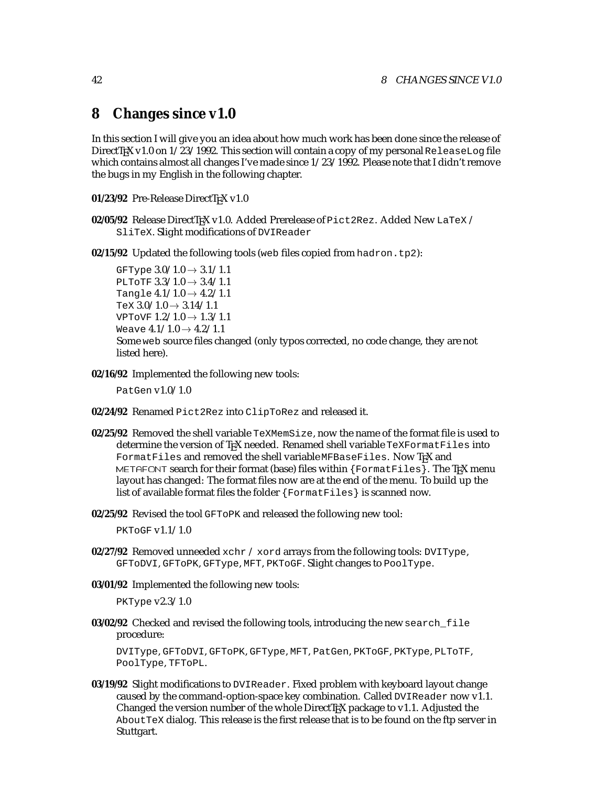# **8 Changes since v1.0**

In this section I will give you an idea about how much work has been done since the release of DirectT<sub>E</sub>X v1.0 on  $1/23/1992$ . This section will contain a copy of my personal ReleaseLog file which contains almost all changes I've made since  $1/23/1992$ . Please note that I didn't remove the bugs in my English in the following chapter.

- 01/23/92 Pre-Release DirectTEX v1.0
- **02/05/92** Release DirectTEX v1.0. Added Prerelease of Pict2Rez. Added New LaTeX / SliTeX. Slight modifications of DVIReader

**02/15/92** Updated the following tools (web files copied from hadron.tp2):

GFType  $3.0/1.0 \rightarrow 3.1/1.1$ PLTOTF  $3.3/1.0 \rightarrow 3.4/1.1$ Tangle  $4.1/1.0 \rightarrow 4.2/1.1$ TeX  $3.0/1.0 \rightarrow 3.14/1.1$ VPTOVF  $1.2/1.0 \rightarrow 1.3/1.1$ Weave  $4.1/1.0 \rightarrow 4.2/1.1$ Some web source files changed (only typos corrected, no code change, they are not listed here).

**02/16/92** Implemented the following new tools:

PatGen v1.0/1.0

- **02/24/92** Renamed Pict2Rez into ClipToRez and released it.
- **02/25/92** Removed the shell variable TeXMemSize, now the name of the format file is used to determine the version of T<sub>E</sub>X needed. Renamed shell variable TeXFormatFiles into FormatFiles and removed the shell variable MFBaseFiles. Now TEX and METAFONT search for their format (base) files within  $\{$  FormatFiles $\}$ . The T<sub>F</sub>X menu layout has changed: The format files now are at the end of the menu. To build up the list of available format files the folder {FormatFiles} is scanned now.
- **02/25/92** Revised the tool GFToPK and released the following new tool:

PKTOGF  $v1.1/1.0$ 

- **02/27/92** Removed unneeded xchr / xord arrays from the following tools: DVIType, GFToDVI, GFToPK, GFType, MFT, PKToGF. Slight changes to PoolType.
- **03/01/92** Implemented the following new tools:

PKType v2.3/1.0

**03/02/92** Checked and revised the following tools, introducing the new search\_file procedure:

DVIType, GFToDVI, GFToPK, GFType, MFT, PatGen, PKToGF, PKType, PLToTF, PoolType, TFToPL.

**03/19/92** Slight modifications to DVIReader. Fixed problem with keyboard layout change caused by the command-option-space key combination. Called DVIReader now v1.1. Changed the version number of the whole DirectTEX package to v1.1. Adjusted the AboutTeX dialog. This release is the first release that is to be found on the ftp server in Stuttgart.

<span id="page-42-0"></span>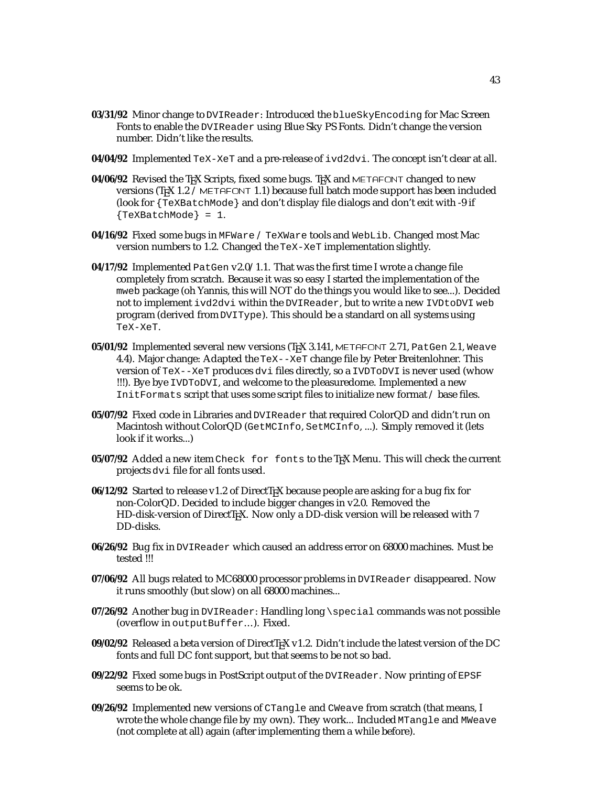- **03/31/92** Minor change to DVIReader: Introduced the blueSkyEncoding for Mac Screen Fonts to enable the DVIReader using Blue Sky PS Fonts. Didn't change the version number. Didn't like the results.
- **04/04/92** Implemented TeX-XeT and a pre-release of ivd2dvi. The concept isn't clear at all.
- **04/06/92** Revised the TEX Scripts, fixed some bugs. TEX and METAFONT changed to new versions (T<sub>E</sub>X 1.2 / METAFONT 1.1) because full batch mode support has been included (look for {TeXBatchMode} and don't display file dialogs and don't exit with -9 if {TeXBatchMode} = 1.
- **04/16/92** Fixed some bugs in MFWare / TeXWare tools and WebLib. Changed most Mac version numbers to 1.2. Changed the TeX-XeT implementation slightly.
- **04/17/92** Implemented PatGen v2.0/1.1. That was the first time I wrote a change file completely from scratch. Because it was so easy I started the implementation of the mweb package (oh Yannis, this will NOT do the things you would like to see...). Decided not to implement ivd2dvi within the DVIReader, but to write a new IVDtoDVI web program (derived from DVIType). This should be a standard on all systems using TeX-XeT.
- **05/01/92** Implemented several new versions (T<sub>E</sub>X 3.141, METAFONT 2.71, PatGen 2.1, Weave 4.4). Major change: Adapted the TeX--XeT change file by Peter Breitenlohner. This version of TeX--XeT produces dvi files directly, so a IVDToDVI is never used (whow !!!). Bye bye IVDToDVI, and welcome to the pleasuredome. Implemented a new InitFormats script that uses some script files to initialize new format / base files.
- **05/07/92** Fixed code in Libraries and DVIReader that required ColorQD and didn't run on Macintosh without ColorQD (GetMCInfo, SetMCInfo, ...). Simply removed it (lets look if it works...)
- 05/07/92 Added a new item Check for fonts to the T<sub>E</sub>X Menu. This will check the current projects dvi file for all fonts used.
- 06/12/92 Started to release v1.2 of DirectTEX because people are asking for a bug fix for non-ColorQD. Decided to include bigger changes in v2.0. Removed the HD-disk-version of DirectTEX. Now only a DD-disk version will be released with 7 DD-disks.
- **06/26/92** Bug fix in DVIReader which caused an address error on 68000 machines. Must be tested !!!
- **07/06/92** All bugs related to MC68000 processor problems in DVIReader disappeared. Now it runs smoothly (but slow) on all 68000 machines...
- 07/26/92 Another bug in DVIReader: Handling long \special commands was not possible (overflow in outputBuffer...). Fixed.
- 09/02/92 Released a beta version of DirectT<sub>E</sub>X v1.2. Didn't include the latest version of the DC fonts and full DC font support, but that seems to be not so bad.
- **09/22/92** Fixed some bugs in PostScript output of the DVIReader. Now printing of EPSF seems to be ok.
- **09/26/92** Implemented new versions of CTangle and CWeave from scratch (that means, I wrote the whole change file by my own). They work... Included MTangle and MWeave (not complete at all) again (after implementing them a while before).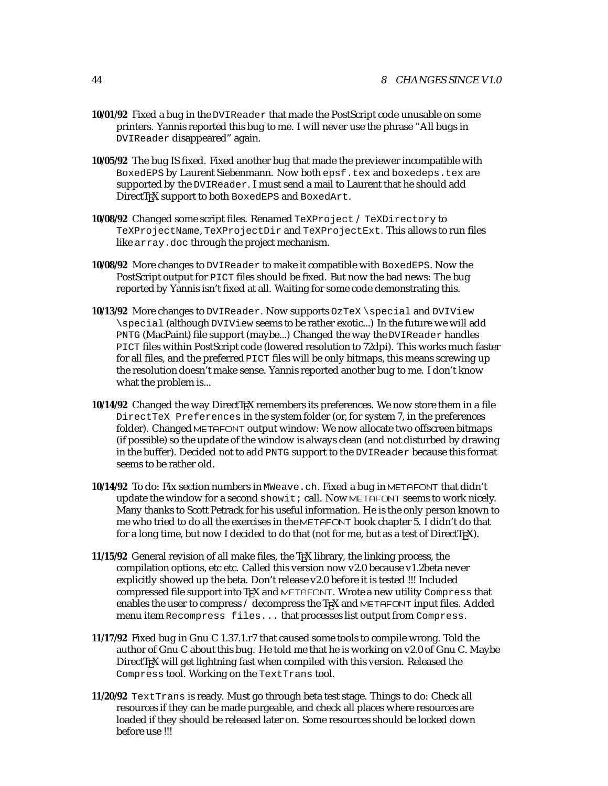- **10/01/92** Fixed a bug in the DVIReader that made the PostScript code unusable on some printers. Yannis reported this bug to me. I will never use the phrase "All bugs in DVIReader disappeared" again.
- **10/05/92** The bug IS fixed. Fixed another bug that made the previewer incompatible with BoxedEPS by Laurent Siebenmann. Now both epsf.tex and boxedeps.tex are supported by the DVIReader. I must send a mail to Laurent that he should add DirectTEX support to both BoxedEPS and BoxedArt.
- **10/08/92** Changed some script files. Renamed TeXProject / TeXDirectory to TeXProjectName, TeXProjectDir and TeXProjectExt. This allows to run files like array.doc through the project mechanism.
- **10/08/92** More changes to DVIReader to make it compatible with BoxedEPS. Now the PostScript output for PICT files should be fixed. But now the bad news: The bug reported by Yannis isn't fixed at all. Waiting for some code demonstrating this.
- **10/13/92** More changes to DVIReader. Now supports OzTeX \special and DVIView \special (although DVIView seems to be rather exotic...) In the future we will add PNTG (MacPaint) file support (maybe...) Changed the way the DVIReader handles PICT files within PostScript code (lowered resolution to 72dpi). This works much faster for all files, and the preferred PICT files will be only bitmaps, this means screwing up the resolution doesn't make sense. Yannis reported another bug to me. I don't know what the problem is...
- 10/14/92 Changed the way DirectT<sub>E</sub>X remembers its preferences. We now store them in a file DirectTeX Preferences in the system folder (or, for system 7, in the preferences folder). Changed METAFONT output window: We now allocate two offscreen bitmaps (if possible) so the update of the window is always clean (and not disturbed by drawing in the buffer). Decided not to add PNTG support to the DVIReader because this format seems to be rather old.
- **10/14/92** To do: Fix section numbers in MWeave.ch. Fixed a bug in METAFONT that didn't update the window for a second  $showit$ ; call. Now METAFONT seems to work nicely. Many thanks to Scott Petrack for his useful information. He is the only person known to me who tried to do all the exercises in the METAFONT book chapter 5. I didn't do that for a long time, but now I decided to do that (not for me, but as a test of  $DirectTeX$ ).
- **11/15/92** General revision of all make files, the TEX library, the linking process, the compilation options, etc etc. Called this version now v2.0 because v1.2beta never explicitly showed up the beta. Don't release v2.0 before it is tested !!! Included compressed file support into TEX and METAFONT. Wrote a new utility Compress that enables the user to compress  $/$  decompress the T<sub>E</sub>X and METAFONT input files. Added menu item Recompress files... that processes list output from Compress.
- **11/17/92** Fixed bug in Gnu C 1.37.1.r7 that caused some tools to compile wrong. Told the author of Gnu C about this bug. He told me that he is working on v2.0 of Gnu C. Maybe DirectT<sub>EX</sub> will get lightning fast when compiled with this version. Released the Compress tool. Working on the TextTrans tool.
- **11/20/92** TextTrans is ready. Must go through beta test stage. Things to do: Check all resources if they can be made purgeable, and check all places where resources are loaded if they should be released later on. Some resources should be locked down before use !!!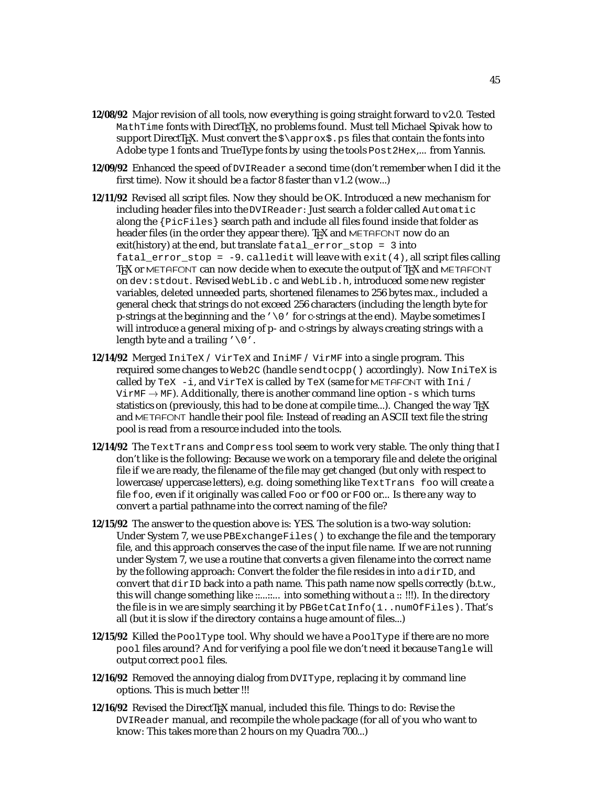- **12/08/92** Major revision of all tools, now everything is going straight forward to v2.0. Tested MathTime fonts with DirectT<sub>E</sub>X, no problems found. Must tell Michael Spivak how to support DirectT<sub>E</sub>X. Must convert the  $\zeta$  approx $\zeta$ . ps files that contain the fonts into Adobe type 1 fonts and TrueType fonts by using the tools Post2Hex,... from Yannis.
- **12/09/92** Enhanced the speed of DVIReader a second time (don't remember when I did it the first time). Now it should be a factor 8 faster than v1.2 (wow...)
- **12/11/92** Revised all script files. Now they should be OK. Introduced a new mechanism for including header files into the DVIReader: Just search a folder called Automatic along the {PicFiles} search path and include all files found inside that folder as header files (in the order they appear there). TpX and METAFONT now do an exit(history) at the end, but translate fatal\_error\_stop = 3 into  $\text{fat} \geq \text{error\_stop} = -9. \text{calledit}$  will leave with  $\text{exit}(4)$ , all script files calling T<sub>EX</sub> or METAFONT can now decide when to execute the output of T<sub>EX</sub> and METAFONT on dev:stdout. Revised WebLib.c and WebLib.h, introduced some new register variables, deleted unneeded parts, shortened filenames to 256 bytes max., included a general check that strings do not exceed 256 characters (including the length byte for p-strings at the beginning and the  $\prime \setminus 0$  for c-strings at the end). Maybe sometimes I will introduce a general mixing of p- and c-strings by always creating strings with a length byte and a trailing  $\sqrt{0}$ .
- **12/14/92** Merged IniTeX / VirTeX and IniMF / VirMF into a single program. This required some changes to Web2C (handle sendtocpp() accordingly). Now IniTeX is called by TeX  $-i$ , and VirTeX is called by TeX (same for METAFONT with Ini / VirMF  $\rightarrow$  MF). Additionally, there is another command line option -s which turns statistics on (previously, this had to be done at compile time...). Changed the way  $T_F X$ and METAFONT handle their pool file: Instead of reading an ASCII text file the string pool is read from a resource included into the tools.
- **12/14/92** The TextTrans and Compress tool seem to work very stable. The only thing that I don't like is the following: Because we work on a temporary file and delete the original file if we are ready, the filename of the file may get changed (but only with respect to lowercase/uppercase letters), e.g. doing something like TextTrans foo will create a file foo, even if it originally was called Foo or fOO or FOO or... Is there any way to convert a partial pathname into the correct naming of the file?
- **12/15/92** The answer to the question above is: YES. The solution is a two-way solution: Under System 7, we use PBExchangeFiles() to exchange the file and the temporary file, and this approach conserves the case of the input file name. If we are not running under System 7, we use a routine that converts a given filename into the correct name by the following approach: Convert the folder the file resides in into a  $dirID$ , and convert that  $dirID$  back into a path name. This path name now spells correctly (b.t.w., this will change something like ::...::.... into something without a :: !!!). In the directory the file is in we are simply searching it by PBGetCatInfo(1..numOfFiles). That's all (but it is slow if the directory contains a huge amount of files...)
- **12/15/92** Killed the PoolType tool. Why should we have a PoolType if there are no more pool files around? And for verifying a pool file we don't need it because Tangle will output correct pool files.
- **12/16/92** Removed the annoying dialog from DVIType, replacing it by command line options. This is much better !!!
- 12/16/92 Revised the DirectTEX manual, included this file. Things to do: Revise the DVIReader manual, and recompile the whole package (for all of you who want to know: This takes more than 2 hours on my Quadra 700...)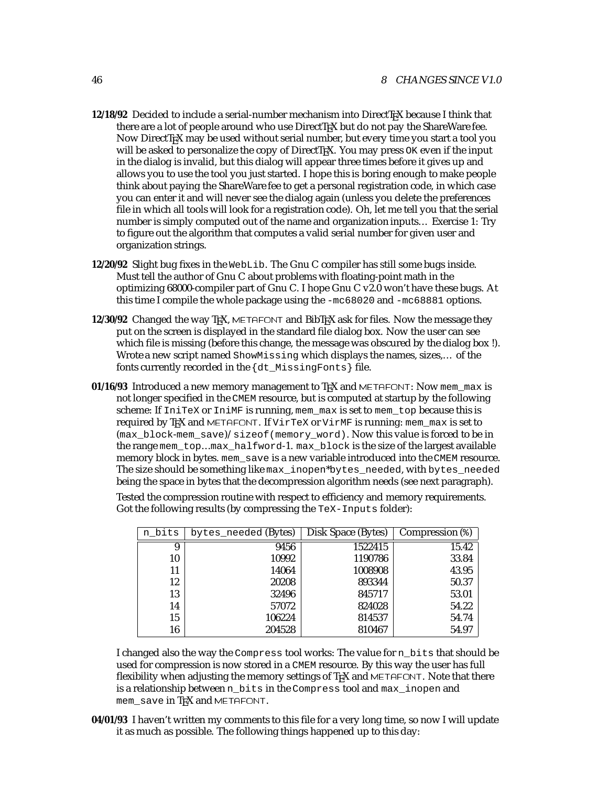- **12/18/92** Decided to include a serial-number mechanism into DirectT<sub>EX</sub> because I think that there are a lot of people around who use DirectT<sub>EX</sub> but do not pay the ShareWare fee. Now DirectTEX may be used without serial number, but every time you start a tool you will be asked to personalize the copy of DirectT<sub>EX</sub>. You may press  $\alpha$ K even if the input in the dialog is invalid, but this dialog will appear three times before it gives up and allows you to use the tool you just started. I hope this is boring enough to make people think about paying the ShareWare fee to get a personal registration code, in which case you can enter it and will never see the dialog again (unless you delete the preferences file in which all tools will look for a registration code). Oh, let me tell you that the serial number is simply computed out of the name and organization inputs... Exercise 1: Try to figure out the algorithm that computes a valid serial number for given user and organization strings.
- **12/20/92** Slight bug fixes in the WebLib. The Gnu C compiler has still some bugs inside. Must tell the author of Gnu C about problems with floating-point math in the optimizing 68000-compiler part of Gnu C. I hope Gnu C v2.0 won't have these bugs. At this time I compile the whole package using the -mc68020 and -mc68881 options.
- **12/30/92** Changed the way T<sub>EX</sub>, METAFONT and BibT<sub>EX</sub> ask for files. Now the message they put on the screen is displayed in the standard file dialog box. Now the user can see which file is missing (before this change, the message was obscured by the dialog box !). Wrote a new script named ShowMissing which displays the names, sizes,... of the fonts currently recorded in the {dt\_MissingFonts} file.
- **01/16/93** Introduced a new memory management to T<sub>E</sub>X and METAFONT: Now mem\_max is not longer specified in the CMEM resource, but is computed at startup by the following scheme: If IniTeX or IniMF is running, mem\_max is set to mem\_top because this is required by TEX and METAFONT. If VirTeX or VirMF is running: mem\_max is set to  $(max_block-mean_save)/sizeof(memoryword)$ . Now this value is forced to be in the range mem\_top...max\_halfword-1. max\_block is the size of the largest available memory block in bytes. mem\_save is a new variable introduced into the CMEM resource. The size should be something like max\_inopen\*bytes\_needed, with bytes\_needed being the space in bytes that the decompression algorithm needs (see next paragraph).

Tested the compression routine with respect to efficiency and memory requirements. Got the following results (by compressing the TeX-Inputs folder):

| n bits | bytes needed (Bytes) | Disk Space (Bytes) | Compression (%) |
|--------|----------------------|--------------------|-----------------|
| 9      | 9456                 | 1522415            | 15.42           |
| 10     | 10992                | 1190786            | 33.84           |
| 11     | 14064                | 1008908            | 43.95           |
| 12     | 20208                | 893344             | 50.37           |
| 13     | 32496                | 845717             | 53.01           |
| 14     | 57072                | 824028             | 54.22           |
| 15     | 106224               | 814537             | 54.74           |
| 16     | 204528               | 810467             | 54.97           |

I changed also the way the Compress tool works: The value for n\_bits that should be used for compression is now stored in a CMEM resource. By this way the user has full flexibility when adjusting the memory settings of TpX and METAFONT. Note that there is a relationship between n\_bits in the Compress tool and max\_inopen and mem\_save in T<sub>E</sub>X and METAFONT.

**04/01/93** I haven't written my comments to this file for a very long time, so now I will update it as much as possible. The following things happened up to this day: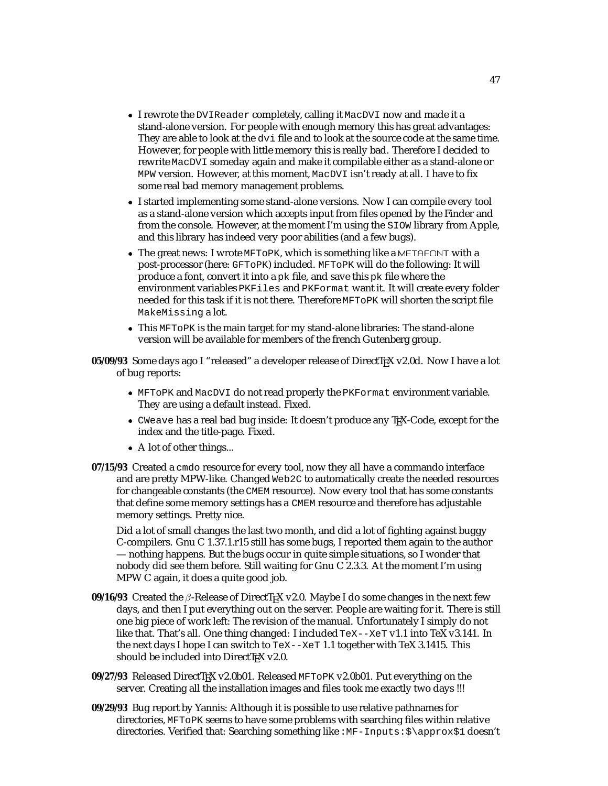- I rewrote the DVIReader completely, calling it MacDVI now and made it a stand-alone version. For people with enough memory this has great advantages: They are able to look at the dvi file and to look at the source code at the same time. However, for people with little memory this is really bad. Therefore I decided to rewrite MacDVI someday again and make it compilable either as a stand-alone or MPW version. However, at this moment, MacDVI isn't ready at all. I have to fix some real bad memory management problems.
- I started implementing some stand-alone versions. Now I can compile every tool as a stand-alone version which accepts input from files opened by the Finder and from the console. However, at the moment I'm using the SIOW library from Apple, and this library has indeed very poor abilities (and a few bugs).
- $\bullet$  The great news: I wrote MFT<sub>O</sub>PK, which is something like a METAFONT with a post-processor (here: GFToPK) included. MFToPK will do the following: It will produce a font, convert it into a pk file, and save this pk file where the environment variables PKFiles and PKFormat want it. It will create every folder needed for this task if it is not there. Therefore MFToPK will shorten the script file MakeMissing a lot.
- This MFToPK is the main target for my stand-alone libraries: The stand-alone version will be available for members of the french Gutenberg group.

**05/09/93** Some days ago I "released" a developer release of DirectT<sub>EX</sub> v2.0d. Now I have a lot of bug reports:

- MFToPK and MacDVI do not read properly the PKFormat environment variable. They are using a default instead. Fixed.
- CWeave has a real bad bug inside: It doesn't produce any TEX-Code, except for the index and the title-page. Fixed.
- A lot of other things...
- **07/15/93** Created a cmdo resource for every tool, now they all have a commando interface and are pretty MPW-like. Changed Web2C to automatically create the needed resources for changeable constants (the CMEM resource). Now every tool that has some constants that define some memory settings has a CMEM resource and therefore has adjustable memory settings. Pretty nice.

Did a lot of small changes the last two month, and did a lot of fighting against buggy C-compilers. Gnu C 1.37.1.r15 still has some bugs, I reported them again to the author — nothing happens. But the bugs occur in quite simple situations, so I wonder that nobody did see them before. Still waiting for Gnu C 2.3.3. At the moment I'm using MPW C again, it does a quite good job.

- **09/16/93** Created the  $\beta$ -Release of DirectT<sub>E</sub>X v2.0. Maybe I do some changes in the next few days, and then I put everything out on the server. People are waiting for it. There is still one big piece of work left: The revision of the manual. Unfortunately I simply do not like that. That's all. One thing changed: I included TeX--XeT v1.1 into TeX v3.141. In the next days I hope I can switch to  $T \times -X \times T$  1.1 together with TeX 3.1415. This should be included into DirectTEX v2.0.
- 09/27/93 Released DirectT<sub>EX</sub> v2.0b01. Released MFTOPK v2.0b01. Put everything on the server. Creating all the installation images and files took me exactly two days !!!
- **09/29/93** Bug report by Yannis: Although it is possible to use relative pathnames for directories, MFToPK seems to have some problems with searching files within relative directories. Verified that: Searching something like : MF-Inputs:  $\$ \approx 1 doesn't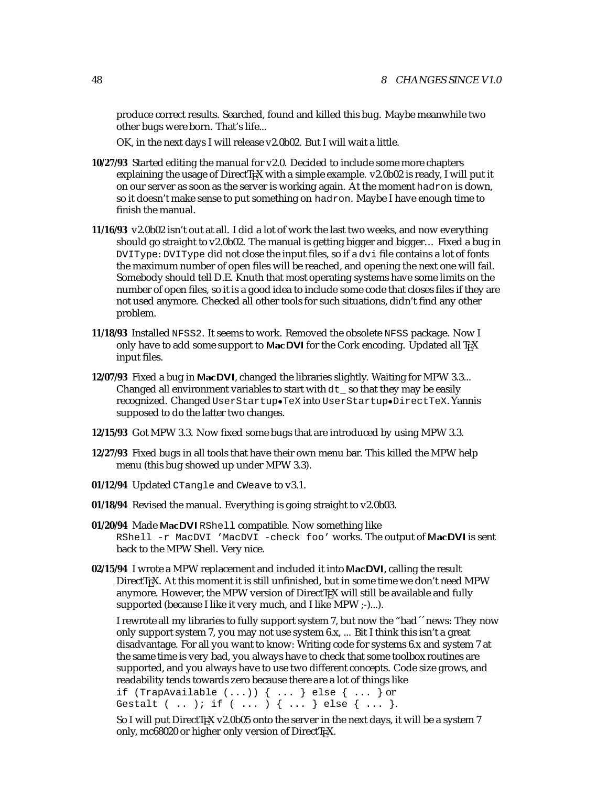produce correct results. Searched, found and killed this bug. Maybe meanwhile two other bugs were born. That's life...

OK, in the next days I will release v2.0b02. But I will wait a little.

- **10/27/93** Started editing the manual for v2.0. Decided to include some more chapters explaining the usage of DirectTEX with a simple example. v2.0b02 is ready, I will put it on our server as soon as the server is working again. At the moment hadron is down, so it doesn't make sense to put something on hadron. Maybe I have enough time to finish the manual.
- **11/16/93** v2.0b02 isn't out at all. I did a lot of work the last two weeks, and now everything should go straight to v2.0b02. The manual is getting bigger and bigger... Fixed a bug in DVIType: DVIType did not close the input files, so if a dvi file contains a lot of fonts the maximum number of open files will be reached, and opening the next one will fail. Somebody should tell D.E. Knuth that most operating systems have some limits on the number of open files, so it is a good idea to include some code that closes files if they are not used anymore. Checked all other tools for such situations, didn't find any other problem.
- **11/18/93** Installed NFSS2. It seems to work. Removed the obsolete NFSS package. Now I only have to add some support to MacDVI for the Cork encoding. Updated all TrX input files.
- **12/07/93** Fixed a bug in MacDVI, changed the libraries slightly. Waiting for MPW 3.3... Changed all environment variables to start with  $dt$  so that they may be easily recognized. Changed UserStartup.TeX into UserStartup.DirectTeX. Yannis supposed to do the latter two changes.
- **12/15/93** Got MPW 3.3. Now fixed some bugs that are introduced by using MPW 3.3.
- **12/27/93** Fixed bugs in all tools that have their own menu bar. This killed the MPW help menu (this bug showed up under MPW 3.3).
- **01/12/94** Updated CTangle and CWeave to v3.1.
- **01/18/94** Revised the manual. Everything is going straight to v2.0b03.
- **01/20/94** Made MacDVI RShell compatible. Now something like RShell -r MacDVI 'MacDVI -check foo' works. The output of MacDVI is sent back to the MPW Shell. Very nice.
- **02/15/94** I wrote a MPW replacement and included it into MacDVI, calling the result DirectTEX. At this moment it is still unfinished, but in some time we don't need MPW anymore. However, the MPW version of DirectTFX will still be available and fully supported (because I like it very much, and I like MPW ;-)...).

I rewrote all my libraries to fully support system 7, but now the "bad´´ news: They now only support system 7, you may not use system 6.x, ... Bit I think this isn't a great disadvantage. For all you want to know: Writing code for systems 6.x and system 7 at the same time is very bad, you always have to check that some toolbox routines are supported, and you always have to use two different concepts. Code size grows, and readability tends towards zero because there are a lot of things like

```
if (TrapAvailable (...)) \{... \} else \{... \} or
Gestalt ( .. ); if ( ... ) \{ ... \} else \{ ... \}.
```
So I will put DirectTFX v2.0b05 onto the server in the next days, it will be a system 7 only, mc68020 or higher only version of DirectTrX.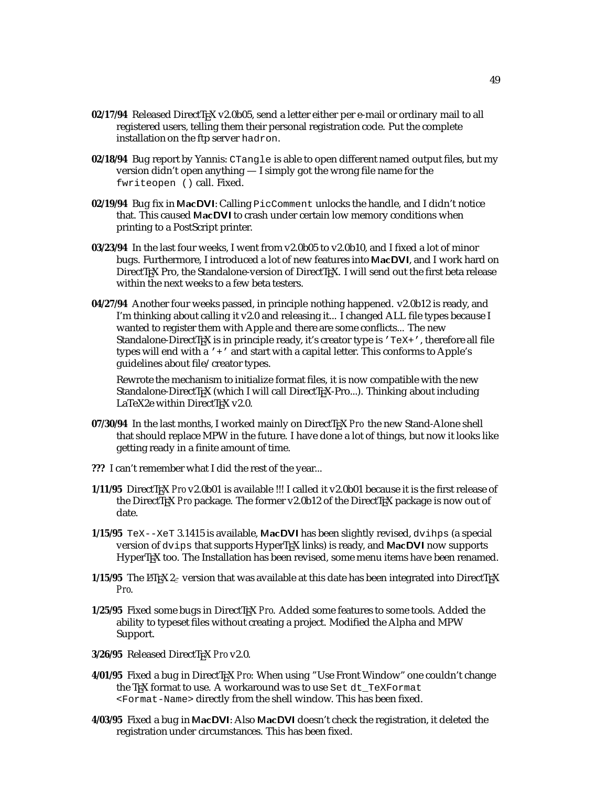- 02/17/94 Released DirectT<sub>E</sub>X v2.0b05, send a letter either per e-mail or ordinary mail to all registered users, telling them their personal registration code. Put the complete installation on the ftp server hadron.
- **02/18/94** Bug report by Yannis: CTangle is able to open different named output files, but my version didn't open anything — I simply got the wrong file name for the fwriteopen () call. Fixed.
- **02/19/94** Bug fix in MacDVI: Calling PicComment unlocks the handle, and I didn't notice that. This caused MacDVI to crash under certain low memory conditions when printing to a PostScript printer.
- **03/23/94** In the last four weeks, I went from v2.0b05 to v2.0b10, and I fixed a lot of minor bugs. Furthermore, I introduced a lot of new features into MacDVI, and I work hard on DirectTEX Pro, the Standalone-version of DirectTEX. I will send out the first beta release within the next weeks to a few beta testers.
- **04/27/94** Another four weeks passed, in principle nothing happened. v2.0b12 is ready, and I'm thinking about calling it v2.0 and releasing it... I changed ALL file types because I wanted to register them with Apple and there are some conflicts... The new Standalone-DirectT<sub>EX</sub> is in principle ready, it's creator type is  $T \in X + T$ , therefore all file types will end with a '+' and start with a capital letter. This conforms to Apple's guidelines about file/creator types.

Rewrote the mechanism to initialize format files, it is now compatible with the new Standalone-DirectTEX (which I will call DirectTEX-Pro...). Thinking about including LaTeX2e within DirectT<sub>E</sub>X v2.0.

- **07/30/94** In the last months, I worked mainly on DirectTEX *Pro* the new Stand-Alone shell that should replace MPW in the future. I have done a lot of things, but now it looks like getting ready in a finite amount of time.
- **???** I can't remember what I did the rest of the year...
- **1/11/95** DirectTEX *Pro* v2.0b01 is available !!! I called it v2.0b01 because it is the first release of the DirectTEX *Pro* package. The former v2.0b12 of the DirectTEX package is now out of date.
- **1/15/95** TeX--XeT 3.1415 is available, MacDVI has been slightly revised, dvihps (a special version of dvips that supports HyperT<sub>F</sub>X links) is ready, and MacDVI now supports HyperT<sub>E</sub>X too. The Installation has been revised, some menu items have been renamed.
- **1/15/95** The LATEX  $2_{\epsilon}$  version that was available at this date has been integrated into DirectTEX *Pro*.
- 1/25/95 Fixed some bugs in DirectT<sub>EX</sub> Pro. Added some features to some tools. Added the ability to typeset files without creating a project. Modified the Alpha and MPW Support.
- **3/26/95** Released DirectTEX *Pro* v2.0.
- **4/01/95** Fixed a bug in DirectTEX *Pro*: When using "Use Front Window" one couldn't change the TEX format to use. A workaround was to use Set dt\_TeXFormat <Format-Name> directly from the shell window. This has been fixed.
- **4/03/95** Fixed a bug in MacDVI: Also MacDVI doesn't check the registration, it deleted the registration under circumstances. This has been fixed.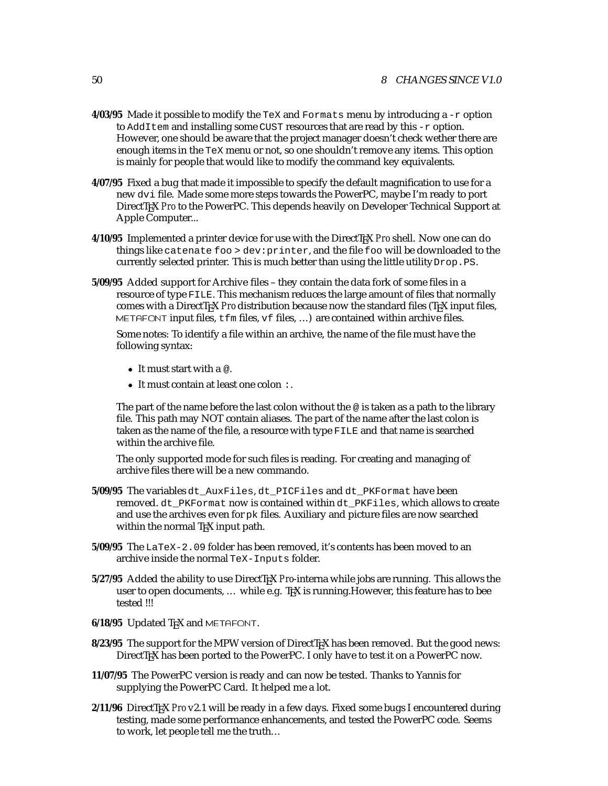- **4/03/95** Made it possible to modify the TeX and Formats menu by introducing  $a r$  option to AddItem and installing some CUST resources that are read by this -r option. However, one should be aware that the project manager doesn't check wether there are enough items in the TeX menu or not, so one shouldn't remove any items. This option is mainly for people that would like to modify the command key equivalents.
- **4/07/95** Fixed a bug that made it impossible to specify the default magnification to use for a new dvi file. Made some more steps towards the PowerPC, maybe I'm ready to port DirectTEX *Pro* to the PowerPC. This depends heavily on Developer Technical Support at Apple Computer...
- **4/10/95** Implemented a printer device for use with the DirectTEX *Pro* shell. Now one can do things like catenate foo > dev:printer, and the file foo will be downloaded to the currently selected printer. This is much better than using the little utility Drop. PS.
- **5/09/95** Added support for Archive files they contain the data fork of some files in a resource of type FILE. This mechanism reduces the large amount of files that normally comes with a DirectT<sub>EX</sub> *Pro* distribution because now the standard files (T<sub>EX</sub> input files, METAFONT input files,  $t \text{fm}$  files,  $v \text{f}$  files, ...) are contained within archive files.

Some notes: To identify a file within an archive, the name of the file must have the following syntax:

- $\bullet$  It must start with a  $\infty$ .
- It must contain at least one colon :.

The part of the name before the last colon without the  $\omega$  is taken as a path to the library file. This path may NOT contain aliases. The part of the name after the last colon is taken as the name of the file, a resource with type FILE and that name is searched within the archive file.

The only supported mode for such files is reading. For creating and managing of archive files there will be a new commando.

- **5/09/95** The variables dt\_AuxFiles, dt\_PICFiles and dt\_PKFormat have been removed. dt\_PKFormat now is contained within dt\_PKFiles, which allows to create and use the archives even for pk files. Auxiliary and picture files are now searched within the normal T<sub>E</sub>X input path.
- **5/09/95** The LaTeX-2.09 folder has been removed, it's contents has been moved to an archive inside the normal TeX-Inputs folder.
- **5/27/95** Added the ability to use DirectTEX *Pro*-interna while jobs are running. This allows the user to open documents, ... while e.g. T<sub>K</sub>X is running. However, this feature has to bee tested !!!
- **6/18/95** Updated T<sub>F</sub>X and METAFONT.
- 8/23/95 The support for the MPW version of DirectT<sub>E</sub>X has been removed. But the good news: DirectT<sub>E</sub>X has been ported to the PowerPC. I only have to test it on a PowerPC now.
- **11/07/95** The PowerPC version is ready and can now be tested. Thanks to Yannis for supplying the PowerPC Card. It helped me a lot.
- **2/11/96** DirectTEX *Pro* v2.1 will be ready in a few days. Fixed some bugs I encountered during testing, made some performance enhancements, and tested the PowerPC code. Seems to work, let people tell me the truth...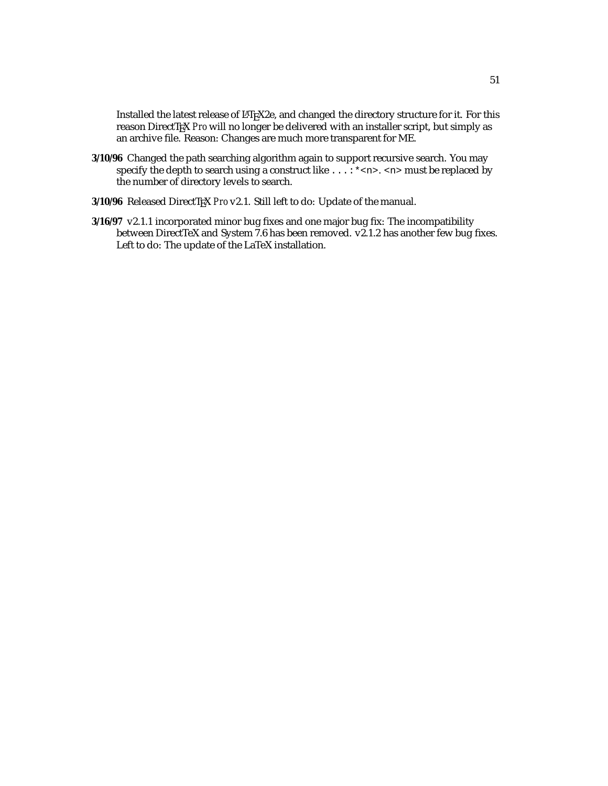Installed the latest release of LATEX2e, and changed the directory structure for it. For this reason DirectT<sub>E</sub>X Pro will no longer be delivered with an installer script, but simply as an archive file. Reason: Changes are much more transparent for ME.

- **3/10/96** Changed the path searching algorithm again to support recursive search. You may specify the depth to search using a construct like  $\dots$  : \* <n> . <n> must be replaced by the number of directory levels to search.
- **3/10/96** Released DirectTEX *Pro* v2.1. Still left to do: Update of the manual.
- **3/16/97** v2.1.1 incorporated minor bug fixes and one major bug fix: The incompatibility between DirectTeX and System 7.6 has been removed. v2.1.2 has another few bug fixes. Left to do: The update of the LaTeX installation.